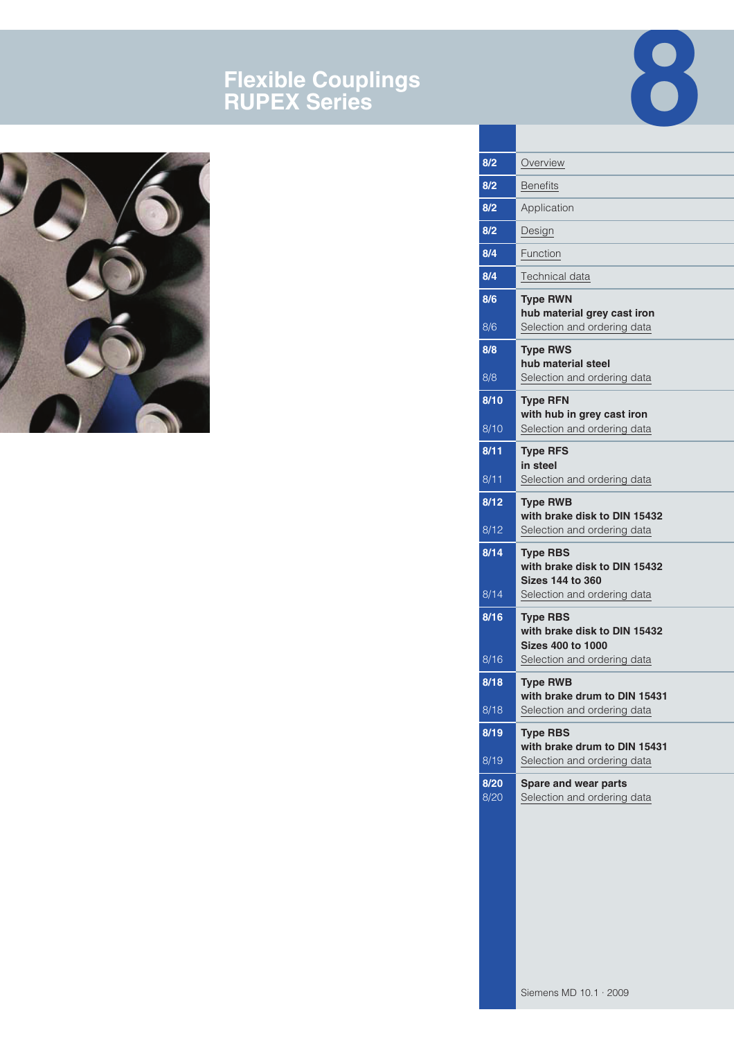# **Flexible Couplings RUPEX Series**





| 8/2          | Overview                                                                      |
|--------------|-------------------------------------------------------------------------------|
| 8/2          | <b>Benefits</b>                                                               |
| 8/2          | Application                                                                   |
| 8/2          | Design                                                                        |
| 8/4          | Function                                                                      |
| 8/4          | Technical data                                                                |
| 8/6<br>8/6   | <b>Type RWN</b><br>hub material grey cast iron<br>Selection and ordering data |
| 8/8<br>8/8   | <b>Type RWS</b><br>hub material steel<br>Selection and ordering data          |
| 8/10         |                                                                               |
| 8/10         | <b>Type RFN</b><br>with hub in grey cast iron<br>Selection and ordering data  |
| 8/11         | <b>Type RFS</b>                                                               |
| 8/11         | in steel<br>Selection and ordering data                                       |
|              |                                                                               |
| 8/12         | <b>Type RWB</b><br>with brake disk to DIN 15432                               |
| 8/12         | Selection and ordering data                                                   |
| 8/14         | <b>Type RBS</b><br>with brake disk to DIN 15432<br><b>Sizes 144 to 360</b>    |
| 8/14         | Selection and ordering data                                                   |
| 8/16         | <b>Type RBS</b><br>with brake disk to DIN 15432<br><b>Sizes 400 to 1000</b>   |
| 8/16         | Selection and ordering data                                                   |
| 8/18         | <b>Type RWB</b><br>with brake drum to DIN 15431                               |
| 8/18         | Selection and ordering data                                                   |
| 8/19         | <b>Type RBS</b><br>with brake drum to DIN 15431                               |
| 8/19         | Selection and ordering data                                                   |
| 8/20<br>8/20 | Spare and wear parts<br>Selection and ordering data                           |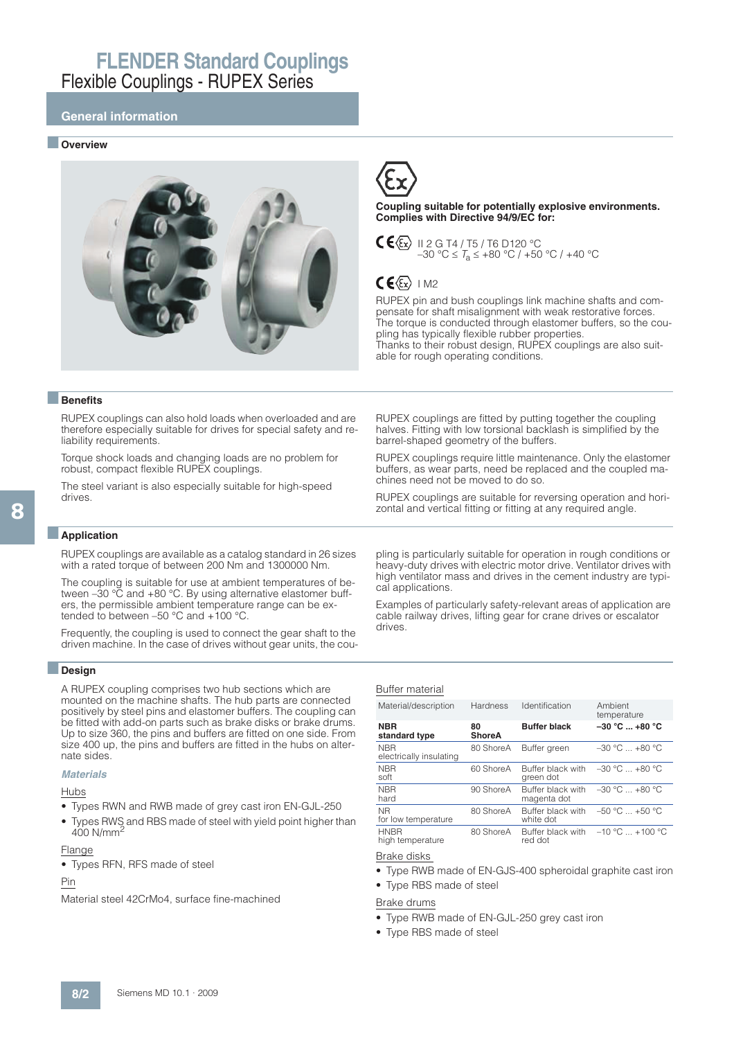### **General information**

#### ■ **Overview**





**Coupling suitable for potentially explosive environments. Complies with Directive 94/9/EC for:**

 $C \leq k$  II 2 G T4 / T5 / T6 D120 °C  $-30$  °C  $\leq T_a \leq +80$  °C / +50 °C / +40 °C

## $CE(x)$  IM2

RUPEX pin and bush couplings link machine shafts and compensate for shaft misalignment with weak restorative forces. The torque is conducted through elastomer buffers, so the coupling has typically flexible rubber properties. Thanks to their robust design, RUPEX couplings are also suitable for rough operating conditions.

RUPEX couplings are fitted by putting together the coupling halves. Fitting with low torsional backlash is simplified by the

RUPEX couplings require little maintenance. Only the elastomer buffers, as wear parts, need be replaced and the coupled ma-

barrel-shaped geometry of the buffers.

chines need not be moved to do so.

### ■**Benefits**

RUPEX couplings can also hold loads when overloaded and are therefore especially suitable for drives for special safety and reliability requirements.

Torque shock loads and changing loads are no problem for robust, compact flexible RUPEX couplings.

The steel variant is also especially suitable for high-speed drives.

### ■**Application**

RUPEX couplings are available as a catalog standard in 26 sizes with a rated torque of between 200 Nm and 1300000 Nm.

The coupling is suitable for use at ambient temperatures of between –30 °C and +80 °C. By using alternative elastomer buffers, the permissible ambient temperature range can be extended to between –50 °C and +100 °C.

Frequently, the coupling is used to connect the gear shaft to the driven machine. In the case of drives without gear units, the cou-

### ■**Design**

A RUPEX coupling comprises two hub sections which are mounted on the machine shafts. The hub parts are connected positively by steel pins and elastomer buffers. The coupling can be fitted with add-on parts such as brake disks or brake drums. Up to size 360, the pins and buffers are fitted on one side. From size 400 up, the pins and buffers are fitted in the hubs on alternate sides.

### **Materials**

### Hubs

- Types RWN and RWB made of grey cast iron EN-GJL-250
- Types RWS and RBS made of steel with yield point higher than 400 N/mm<sup>2</sup>

#### Flange

• Types RFN, RFS made of steel

#### Pin

Material steel 42CrMo4, surface fine-machined

zontal and vertical fitting or fitting at any required angle. pling is particularly suitable for operation in rough conditions or

RUPEX couplings are suitable for reversing operation and hori-

heavy-duty drives with electric motor drive. Ventilator drives with high ventilator mass and drives in the cement industry are typical applications.

Examples of particularly safety-relevant areas of application are cable railway drives, lifting gear for crane drives or escalator drives.

#### Buffer material

| Material/description                  | <b>Hardness</b>     | Identification                   | Ambient<br>temperature |
|---------------------------------------|---------------------|----------------------------------|------------------------|
| <b>NBR</b><br>standard type           | 80<br><b>ShoreA</b> | <b>Buffer black</b>              | $-30 °C  +80 °C$       |
| <b>NBR</b><br>electrically insulating | 80 ShoreA           | Buffer green                     | $-30$ °C $+80$ °C      |
| <b>NBR</b><br>soft                    | 60 ShoreA           | Buffer black with<br>green dot   | $-30$ °C $+80$ °C      |
| <b>NBR</b><br>hard                    | 90 ShoreA           | Buffer black with<br>magenta dot | $-30$ °C $ +80$ °C     |
| <b>NR</b><br>for low temperature      | 80 ShoreA           | Buffer black with<br>white dot   | $-50 °C = +50 °C$      |
| <b>HNBR</b><br>high temperature       | 80 ShoreA           | Buffer black with<br>red dot     | $-10 °C = +100 °C$     |

### Brake disks

- Type RWB made of EN-GJS-400 spheroidal graphite cast iron
- Type RBS made of steel
- Brake drums
- Type RWB made of EN-GJL-250 grey cast iron
- Type RBS made of steel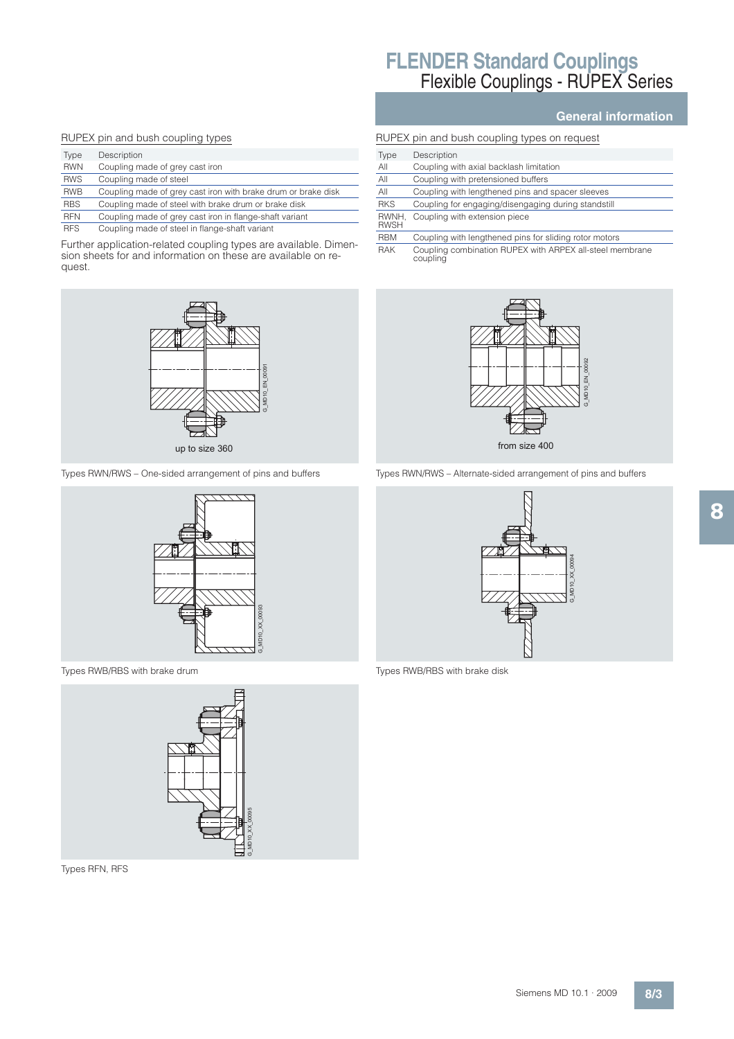#### RUPEX pin and bush coupling types

| Type       | Description                                                   |
|------------|---------------------------------------------------------------|
| <b>RWN</b> | Coupling made of grey cast iron                               |
| <b>RWS</b> | Coupling made of steel                                        |
| <b>RWB</b> | Coupling made of grey cast iron with brake drum or brake disk |
| <b>RBS</b> | Coupling made of steel with brake drum or brake disk          |
| <b>RFN</b> | Coupling made of grey cast iron in flange-shaft variant       |
| <b>RFS</b> | Coupling made of steel in flange-shaft variant                |

Further application-related coupling types are available. Dimension sheets for and information on these are available on request.



Types RWN/RWS – One-sided arrangement of pins and buffers



Types RWB/RBS with brake drum



Types RFN, RFS

### **General information**

|                      | RUPEX pin and bush coupling types on request           |
|----------------------|--------------------------------------------------------|
| Type                 | Description                                            |
| All                  | Coupling with axial backlash limitation                |
| All                  | Coupling with pretensioned buffers                     |
| AII                  | Coupling with lengthened pins and spacer sleeves       |
| <b>RKS</b>           | Coupling for engaging/disengaging during standstill    |
| RWNH.<br><b>RWSH</b> | Coupling with extension piece                          |
| <b>RBM</b>           | Coupling with lengthened pins for sliding rotor motors |
|                      |                                                        |

RAK Coupling combination RUPEX with ARPEX all-steel membrane coupling



Types RWN/RWS – Alternate-sided arrangement of pins and buffers



Types RWB/RBS with brake disk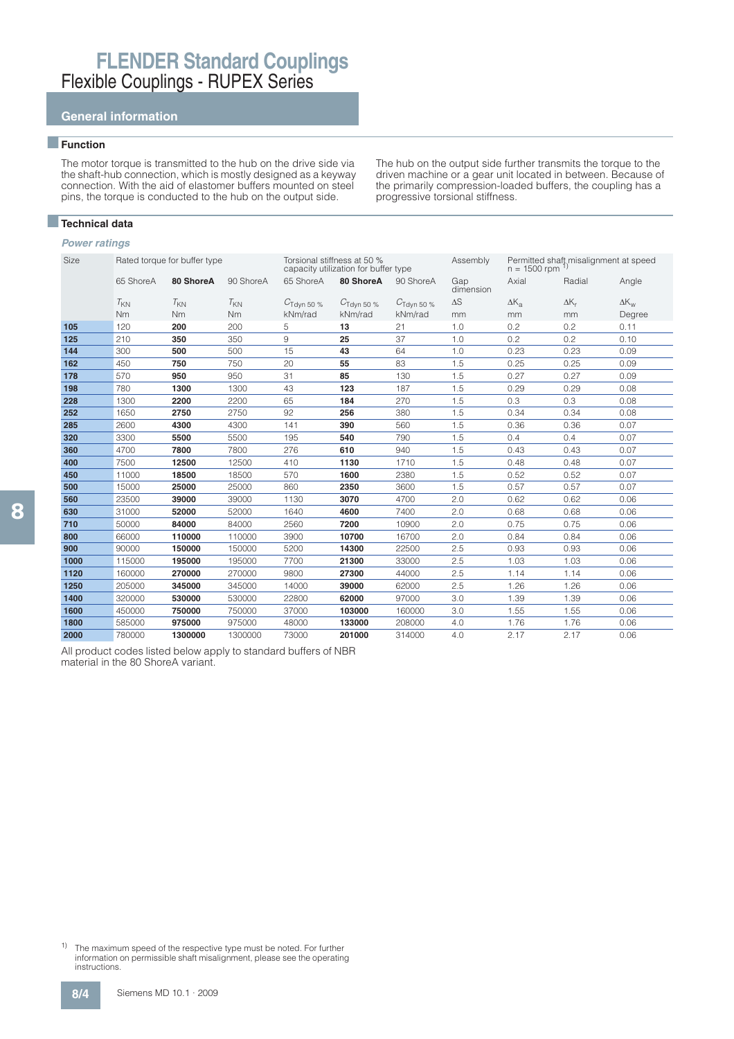## **General information**

### ■**Function**

The motor torque is transmitted to the hub on the drive side via the shaft-hub connection, which is mostly designed as a keyway connection. With the aid of elastomer buffers mounted on steel pins, the torque is conducted to the hub on the output side.

■**Technical data**

### **Power ratings**

| Size |           | Rated torque for buffer type |           |                        | Torsional stiffness at 50 %<br>capacity utilization for buffer type |                        | Assembly         | $n = 1500$ rpm | Permitted shaft misalignment at speed |                    |
|------|-----------|------------------------------|-----------|------------------------|---------------------------------------------------------------------|------------------------|------------------|----------------|---------------------------------------|--------------------|
|      | 65 ShoreA | 80 ShoreA                    | 90 ShoreA | 65 ShoreA              | 80 ShoreA                                                           | 90 ShoreA              | Gap<br>dimension | Axial          | Radial                                | Angle              |
|      | $T_{KN}$  | $T_{KN}$                     | $T_{KN}$  | $C_{\rm Tdyn\ 50\ \%}$ | $C_{\text{Tdyn 50 \%}}$                                             | $C_{\text{Tdvn}}$ 50 % | $\Delta S$       | $\Delta K_{a}$ | $\Delta K_r$                          | $\Delta K_{\rm w}$ |
|      | Nm        | Nm                           | Nm        | kNm/rad                | kNm/rad                                                             | kNm/rad                | mm               | mm             | mm                                    | Degree             |
| 105  | 120       | 200                          | 200       | 5                      | 13                                                                  | 21                     | 1.0              | 0.2            | 0.2                                   | 0.11               |
| 125  | 210       | 350                          | 350       | 9                      | 25                                                                  | 37                     | 1.0              | 0.2            | 0.2                                   | 0.10               |
| 144  | 300       | 500                          | 500       | 15                     | 43                                                                  | 64                     | 1.0              | 0.23           | 0.23                                  | 0.09               |
| 162  | 450       | 750                          | 750       | 20                     | 55                                                                  | 83                     | 1.5              | 0.25           | 0.25                                  | 0.09               |
| 178  | 570       | 950                          | 950       | 31                     | 85                                                                  | 130                    | 1.5              | 0.27           | 0.27                                  | 0.09               |
| 198  | 780       | 1300                         | 1300      | 43                     | 123                                                                 | 187                    | 1.5              | 0.29           | 0.29                                  | 0.08               |
| 228  | 1300      | 2200                         | 2200      | 65                     | 184                                                                 | 270                    | 1.5              | 0.3            | 0.3                                   | 0.08               |
| 252  | 1650      | 2750                         | 2750      | 92                     | 256                                                                 | 380                    | 1.5              | 0.34           | 0.34                                  | 0.08               |
| 285  | 2600      | 4300                         | 4300      | 141                    | 390                                                                 | 560                    | 1.5              | 0.36           | 0.36                                  | 0.07               |
| 320  | 3300      | 5500                         | 5500      | 195                    | 540                                                                 | 790                    | 1.5              | 0.4            | 0.4                                   | 0.07               |
| 360  | 4700      | 7800                         | 7800      | 276                    | 610                                                                 | 940                    | 1.5              | 0.43           | 0.43                                  | 0.07               |
| 400  | 7500      | 12500                        | 12500     | 410                    | 1130                                                                | 1710                   | 1.5              | 0.48           | 0.48                                  | 0.07               |
| 450  | 11000     | 18500                        | 18500     | 570                    | 1600                                                                | 2380                   | 1.5              | 0.52           | 0.52                                  | 0.07               |
| 500  | 15000     | 25000                        | 25000     | 860                    | 2350                                                                | 3600                   | 1.5              | 0.57           | 0.57                                  | 0.07               |
| 560  | 23500     | 39000                        | 39000     | 1130                   | 3070                                                                | 4700                   | 2.0              | 0.62           | 0.62                                  | 0.06               |
| 630  | 31000     | 52000                        | 52000     | 1640                   | 4600                                                                | 7400                   | 2.0              | 0.68           | 0.68                                  | 0.06               |
| 710  | 50000     | 84000                        | 84000     | 2560                   | 7200                                                                | 10900                  | 2.0              | 0.75           | 0.75                                  | 0.06               |
| 800  | 66000     | 110000                       | 110000    | 3900                   | 10700                                                               | 16700                  | 2.0              | 0.84           | 0.84                                  | 0.06               |
| 900  | 90000     | 150000                       | 150000    | 5200                   | 14300                                                               | 22500                  | 2.5              | 0.93           | 0.93                                  | 0.06               |
| 1000 | 115000    | 195000                       | 195000    | 7700                   | 21300                                                               | 33000                  | 2.5              | 1.03           | 1.03                                  | 0.06               |
| 1120 | 160000    | 270000                       | 270000    | 9800                   | 27300                                                               | 44000                  | 2.5              | 1.14           | 1.14                                  | 0.06               |
| 1250 | 205000    | 345000                       | 345000    | 14000                  | 39000                                                               | 62000                  | 2.5              | 1.26           | 1.26                                  | 0.06               |
| 1400 | 320000    | 530000                       | 530000    | 22800                  | 62000                                                               | 97000                  | 3.0              | 1.39           | 1.39                                  | 0.06               |
| 1600 | 450000    | 750000                       | 750000    | 37000                  | 103000                                                              | 160000                 | 3.0              | 1.55           | 1.55                                  | 0.06               |
| 1800 | 585000    | 975000                       | 975000    | 48000                  | 133000                                                              | 208000                 | 4.0              | 1.76           | 1.76                                  | 0.06               |
| 2000 | 780000    | 1300000                      | 1300000   | 73000                  | 201000                                                              | 314000                 | 4.0              | 2.17           | 2.17                                  | 0.06               |

All product codes listed below apply to standard buffers of NBR material in the 80 ShoreA variant.

<sup>1)</sup> The maximum speed of the respective type must be noted. For further information on permissible shaft misalignment, please see the operating instructions.

The hub on the output side further transmits the torque to the driven machine or a gear unit located in between. Because of the primarily compression-loaded buffers, the coupling has a progressive torsional stiffness.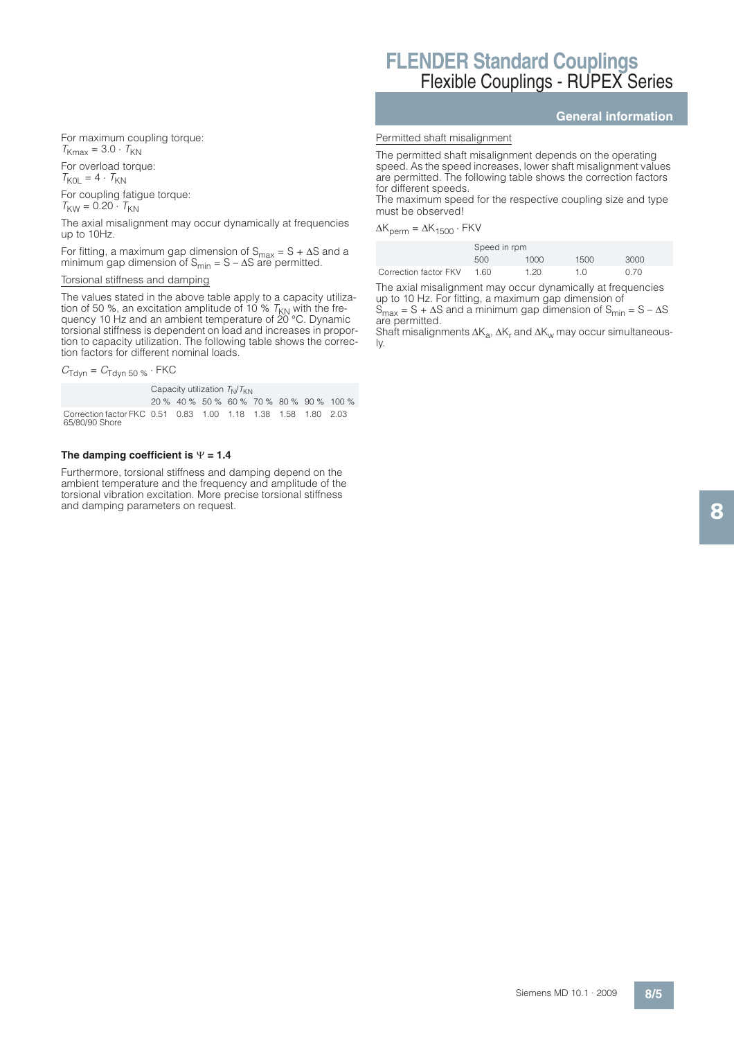For maximum coupling torque:  $T_{Kmax} = 3.0 \cdot T_{KN}$ 

For overload torque:

 $T_{KOL} = 4 \cdot T_{KN}$ 

For coupling fatigue torque:  $T_{\text{KW}} = 0.20 \cdot T_{\text{KN}}$ 

The axial misalignment may occur dynamically at frequencies up to 10Hz.

For fitting, a maximum gap dimension of  $S_{max} = S + \Delta S$  and a minimum gap dimension of  $S_{min} = S - \Delta S$  are permitted.

### Torsional stiffness and damping

The values stated in the above table apply to a capacity utilization of 50 %, an excitation amplitude of 10 %  $T_\mathrm{KN}$  with the fre-<br>quency 10 Hz and an ambient temperature of 20 °C. Dynamic torsional stiffness is dependent on load and increases in proportion to capacity utilization. The following table shows the correction factors for different nominal loads.

 $C_{\text{Tdyn}} = C_{\text{Tdyn }50\%} \cdot \text{FKC}$ 

Capacity utilization  $T_N/T_{KN}$ 

20 % 40 % 50 % 60 % 70 % 80 % 90 % 100 % Correction factor FKC 0.51 0.83 1.00 1.18 1.38 1.58 1.80 2.03 65/80/90 Shore

## The damping coefficient is  $\Psi$  = 1.4

Furthermore, torsional stiffness and damping depend on the ambient temperature and the frequency and amplitude of the torsional vibration excitation. More precise torsional stiffness and damping parameters on request.

# **FLENDER Standard Couplings** Flexible Couplings - RUPEX Series

### **General information**

#### Permitted shaft misalignment

The permitted shaft misalignment depends on the operating speed. As the speed increases, lower shaft misalignment values are permitted. The following table shows the correction factors for different speeds.

The maximum speed for the respective coupling size and type must be observed!

 $\Delta K_{\text{perm}} = \Delta K_{1500} \cdot \text{FKV}$ 

|                       | Speed in rpm |      |      |      |
|-----------------------|--------------|------|------|------|
|                       | 500          | 1000 | 1500 | 3000 |
| Correction factor FKV | 1.60         | 1.20 | 1 N  | 0.70 |

The axial misalignment may occur dynamically at frequencies up to 10 Hz. For fitting, a maximum gap dimension of

 $S_{max} = S + \Delta S$  and a minimum gap dimension of  $S_{min} = S - \Delta S$ are permitted.

Shaft misalignments  $\Delta K_{\rm a}$ ,  $\Delta K_{\rm r}$  and  $\Delta K_{\rm w}$  may occur simultaneously.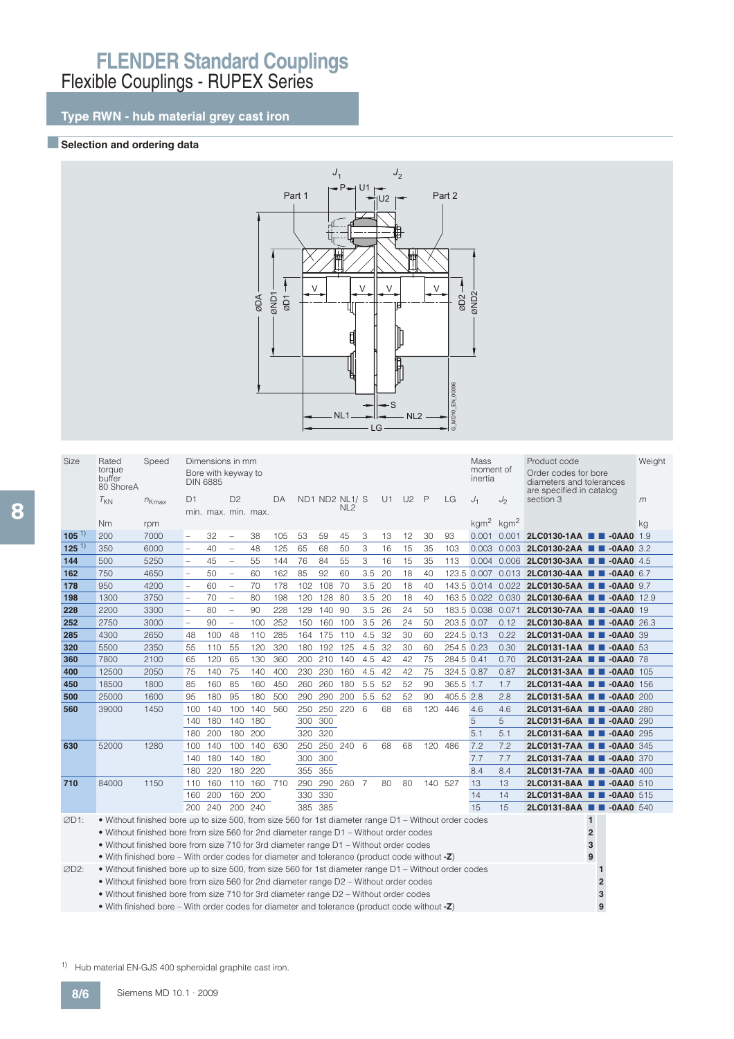## **Type RWN - hub material grey cast iron**

### **BSelection and ordering data**



| <b>Size</b> | Rated<br>torque<br>buffer                                                                             | Speed      |                          | Dimensions in mm<br>Bore with keyway to<br><b>DIN 6885</b> |                          |         |     |     |     |                                   |     |    |                |              |            | Mass<br>moment of<br>inertia    |      | Product code<br>Order codes for bore<br>diameters and tolerances |                | Weight |
|-------------|-------------------------------------------------------------------------------------------------------|------------|--------------------------|------------------------------------------------------------|--------------------------|---------|-----|-----|-----|-----------------------------------|-----|----|----------------|--------------|------------|---------------------------------|------|------------------------------------------------------------------|----------------|--------|
|             | 80 ShoreA<br>$T_{KN}$                                                                                 | $n_{Kmax}$ | D <sub>1</sub>           | min. max. min. max.                                        | D <sub>2</sub>           |         | DA  |     |     | ND1 ND2 NL1/ S<br>NL <sub>2</sub> |     | U1 | U <sub>2</sub> | $\mathsf{P}$ | LG         | $J_1$                           | J    | are specified in catalog<br>section 3                            |                | m      |
|             | <b>Nm</b>                                                                                             | rpm        |                          |                                                            |                          |         |     |     |     |                                   |     |    |                |              |            | $\text{kgm}^2$ kgm <sup>2</sup> |      |                                                                  |                | kg     |
| $105^{1}$   | 200                                                                                                   | 7000       | $\overline{\phantom{0}}$ | 32                                                         | $\overline{\phantom{0}}$ | 38      | 105 | 53  | 59  | 45                                | 3   | 13 | 12             | 30           | 93         |                                 |      | 0.001 0.001 2LC0130-1AA <b>0 0 -0AA0</b>                         |                | 1.9    |
| $125^{1}$   | 350                                                                                                   | 6000       | $\overline{\phantom{0}}$ | 40                                                         | $\overline{\phantom{a}}$ | 48      | 125 | 65  | 68  | 50                                | 3   | 16 | 15             | 35           | 103        |                                 |      | 0.003 0.003 2LC0130-2AA <b>0 -0AA0</b> 3.2                       |                |        |
| 144         | 500                                                                                                   | 5250       | $\overline{a}$           | 45                                                         | $\overline{\phantom{0}}$ | 55      | 144 | 76  | 84  | 55                                | 3   | 16 | 15             | 35           | 113        |                                 |      | 0.004 0.006 2LC0130-3AA <b>0 -0AA0</b> 4.5                       |                |        |
| 162         | 750                                                                                                   | 4650       | $\overline{a}$           | 50                                                         | $\overline{\phantom{0}}$ | 60      | 162 | 85  | 92  | 60                                | 3.5 | 20 | 18             | 40           |            |                                 |      | 123.5 0.007 0.013 2LC0130-4AA <b>4 4 -0AA0</b> 6.7               |                |        |
| 178         | 950                                                                                                   | 4200       | $\overline{\phantom{0}}$ | 60                                                         | $\overline{\phantom{a}}$ | 70      | 178 | 102 | 108 | 70                                | 3.5 | 20 | 18             | 40           |            |                                 |      | 143.5 0.014 0.022 2LC0130-5AA <b>B +0AA0</b> 9.7                 |                |        |
| 198         | 1300                                                                                                  | 3750       | $\overline{a}$           | 70                                                         | $\overline{\phantom{0}}$ | 80      | 198 | 120 | 128 | 80                                | 3.5 | 20 | 18             | 40           |            |                                 |      | 163.5 0.022 0.030 2LC0130-6AA <b>1 -0AA0</b> 12.9                |                |        |
| 228         | 2200                                                                                                  | 3300       | $\overline{\phantom{0}}$ | 80                                                         | $\overline{\phantom{a}}$ | 90      | 228 | 129 | 140 | 90                                | 3.5 | 26 | 24             | 50           |            | 183.5 0.038 0.071               |      | 2LC0130-7AA <b>III-0AA0</b> 19                                   |                |        |
| 252         | 2750                                                                                                  | 3000       | $\overline{a}$           | 90                                                         | $\overline{\phantom{a}}$ | 100     | 252 | 150 | 160 | 100                               | 3.5 | 26 | 24             | 50           | 203.5 0.07 |                                 | 0.12 | 2LC0130-8AA <b>1 4</b> -0AA0 26.3                                |                |        |
| 285         | 4300                                                                                                  | 2650       | 48                       | 100                                                        | 48                       | 110     | 285 | 164 | 175 | 110                               | 4.5 | 32 | 30             | 60           | 224.5 0.13 |                                 | 0.22 | 2LC0131-0AA <b>III-0AA0</b> 39                                   |                |        |
| 320         | 5500                                                                                                  | 2350       | 55                       | 110                                                        | 55                       | 120     | 320 | 180 | 192 | 125                               | 4.5 | 32 | 30             | 60           | 254.5 0.23 |                                 | 0.30 | 2LC0131-1AA <b>1 4</b> -0AA0 53                                  |                |        |
| 360         | 7800                                                                                                  | 2100       | 65                       | 120                                                        | 65                       | 130     | 360 | 200 | 210 | 140                               | 4.5 | 42 | 42             | 75           | 284.5 0.41 |                                 | 0.70 | 2LC0131-2AA <b>III</b> -0AA0 78                                  |                |        |
| 400         | 12500                                                                                                 | 2050       | 75                       | 140                                                        | 75                       | 140     | 400 | 230 | 230 | 160                               | 4.5 | 42 | 42             | 75           | 324.5 0.87 |                                 | 0.87 | 2LC0131-3AA ■ ■ -0AA0 105                                        |                |        |
| 450         | 18500                                                                                                 | 1800       | 85                       | 160                                                        | 85                       | 160     | 450 | 260 | 260 | 180                               | 5.5 | 52 | 52             | 90           | 365.5 1.7  |                                 | 1.7  | 2LC0131-4AA <b>1 4 -0AA0</b> 156                                 |                |        |
| 500         | 25000                                                                                                 | 1600       | 95                       | 180                                                        | 95                       | 180     | 500 | 290 | 290 | 200                               | 5.5 | 52 | 52             | 90           | 405.5 2.8  |                                 | 2.8  | 2LC0131-5AA <b>III-0AA0</b> 200                                  |                |        |
| 560         | 39000                                                                                                 | 1450       | 100                      | 140                                                        | 100                      | 140     | 560 | 250 | 250 | 220                               | 6   | 68 | 68             | 120          | 446        | 4.6                             | 4.6  | 2LC0131-6AA <b>III-0AA0</b> 280                                  |                |        |
|             |                                                                                                       |            | 140                      | 180                                                        | 140                      | 180     |     | 300 | 300 |                                   |     |    |                |              |            | 5                               | 5    | 2LC0131-6AA <b>1 4</b> -0AA0 290                                 |                |        |
|             |                                                                                                       |            | 180                      | 200                                                        | 180                      | 200     |     | 320 | 320 |                                   |     |    |                |              |            | 5.1                             | 5.1  | 2LC0131-6AA <b>III-0AA0</b> 295                                  |                |        |
| 630         | 52000                                                                                                 | 1280       | 100                      | 140                                                        | 100                      | 140     | 630 | 250 |     | 250 240 6                         |     | 68 | 68             | 120 486      |            | 7.2                             | 7.2  | 2LC0131-7AA <b>1 4</b> -0AA0 345                                 |                |        |
|             |                                                                                                       |            | 140                      | 180                                                        | 140                      | 180     |     | 300 | 300 |                                   |     |    |                |              |            | 7.7                             | 7.7  | 2LC0131-7AA <b>III -0AA0</b> 370                                 |                |        |
|             |                                                                                                       |            | 180                      | 220                                                        | 180                      | 220     |     | 355 | 355 |                                   |     |    |                |              |            | 8.4                             | 8.4  | 2LC0131-7AA <b>1 400</b> -0AA0 400                               |                |        |
| 710         | 84000                                                                                                 | 1150       | 110                      | 160                                                        | 110                      | 160 710 |     | 290 |     | 290 260 7                         |     | 80 | 80             | 140 527      |            | 13                              | 13   | 2LC0131-8AA <b>D</b> -0AA0 510                                   |                |        |
|             |                                                                                                       |            | 160                      | 200                                                        | 160                      | 200     |     | 330 | 330 |                                   |     |    |                |              |            | 14                              | 14   | 2LC0131-8AA <b>III-0AA0</b> 515                                  |                |        |
|             |                                                                                                       |            | 200                      | 240                                                        | 200                      | 240     |     | 385 | 385 |                                   |     |    |                |              |            | 15                              | 15   | 2LC0131-8AA <b>III-0AA0</b> 540                                  |                |        |
| ØD1:        | • Without finished bore up to size 500, from size 560 for 1st diameter range D1 – Without order codes |            |                          |                                                            |                          |         |     |     |     |                                   |     |    |                |              |            |                                 |      |                                                                  | $\mathbf{1}$   |        |
|             | . Without finished bore from size 560 for 2nd diameter range D1 - Without order codes                 |            |                          |                                                            |                          |         |     |     |     |                                   |     |    |                |              |            |                                 |      |                                                                  | $\overline{2}$ |        |
|             | • Without finished bore from size 710 for 3rd diameter range D1 – Without order codes                 |            |                          |                                                            |                          |         |     |     |     |                                   |     |    |                |              |            |                                 |      |                                                                  | 3              |        |
|             | • With finished bore – With order codes for diameter and tolerance (product code without -Z)          |            |                          |                                                            |                          |         |     |     |     |                                   |     |    |                |              |            |                                 |      |                                                                  | 9              |        |
| ØD2:        | • Without finished bore up to size 500, from size 560 for 1st diameter range D1 – Without order codes |            |                          |                                                            |                          |         |     |     |     |                                   |     |    |                |              |            |                                 |      |                                                                  |                |        |
|             | . Without finished bore from size 560 for 2nd diameter range D2 - Without order codes                 |            |                          |                                                            |                          |         |     |     |     |                                   |     |    |                |              |            |                                 |      |                                                                  |                |        |
|             | • Without finished bore from size 710 for 3rd diameter range D2 - Without order codes                 |            |                          |                                                            |                          |         |     |     |     |                                   |     |    |                |              |            |                                 |      |                                                                  | 3              |        |

• With finished bore – With order codes for diameter and tolerance (product code without **-Z**) **9**

1) Hub material EN-GJS 400 spheroidal graphite cast iron.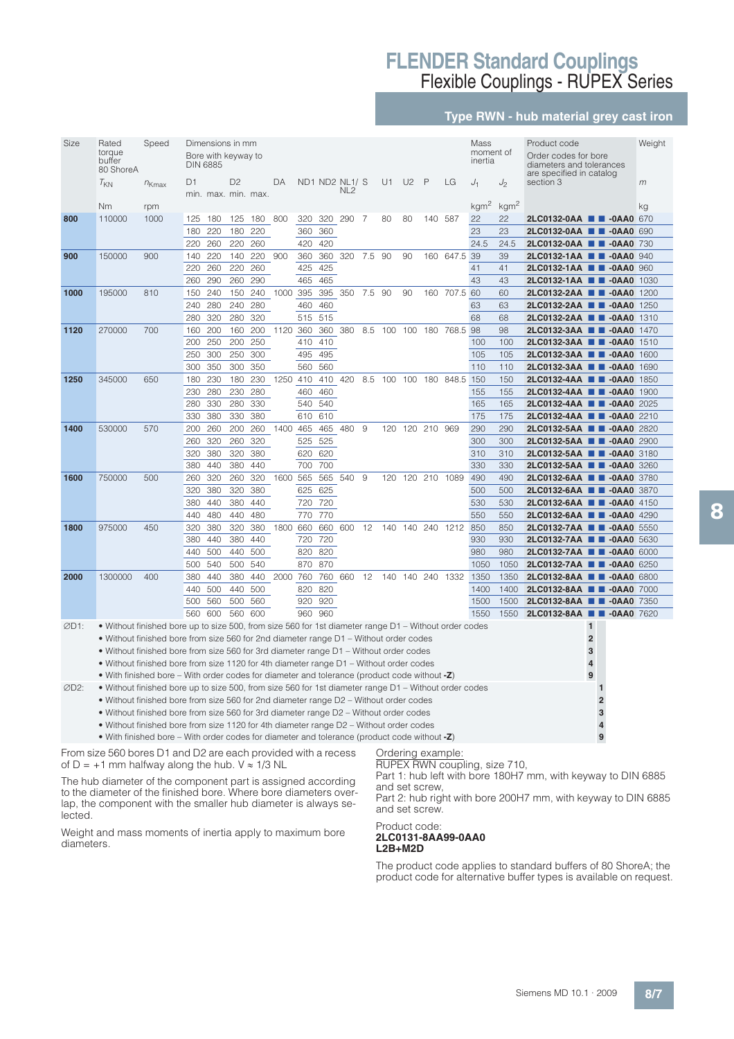### **Type RWN - hub material grey cast iron**

| Size | Rated<br>torque<br>buffer<br>80 ShoreA                                                                | Speed      | <b>DIN 6885</b> | Dimensions in mm<br>Bore with keyway to |                |            |      |            |            |                                  |        |    |                |              |                           | Mass<br>moment of<br>inertia |                  | Product code<br>Order codes for bore<br>diameters and tolerances<br>are specified in catalog |                | Weight |
|------|-------------------------------------------------------------------------------------------------------|------------|-----------------|-----------------------------------------|----------------|------------|------|------------|------------|----------------------------------|--------|----|----------------|--------------|---------------------------|------------------------------|------------------|----------------------------------------------------------------------------------------------|----------------|--------|
|      | $T_{KN}$                                                                                              | $n_{Kmax}$ | D1              | min. max. min. max.                     | D <sub>2</sub> |            | DA   |            |            | ND1 ND2 NL1/S<br>NL <sub>2</sub> |        | U1 | U <sub>2</sub> | $\mathsf{P}$ | LG                        | $J_1$                        | J                | section 3                                                                                    |                | m      |
|      | <b>Nm</b>                                                                                             | rpm        |                 |                                         |                |            |      |            |            |                                  |        |    |                |              |                           | kgm <sup>2</sup>             | kgm <sup>2</sup> |                                                                                              |                | ka     |
| 800  | 110000                                                                                                | 1000       | 125             | 180                                     |                | 125 180    | 800  | 320        | 320        | 290                              | - 7    | 80 | 80             | 140          | 587                       | 22                           | 22               | 2LC0132-0AA <b>III-0AA0</b> 670                                                              |                |        |
|      |                                                                                                       |            | 180             | 220                                     | 180            | 220        |      | 360        | 360        |                                  |        |    |                |              |                           | 23                           | 23               | 2LC0132-0AA ■ ■ -0AA0                                                                        |                | 690    |
|      |                                                                                                       |            | 220             | 260                                     | 220            | 260        |      | 420        | 420        |                                  |        |    |                |              |                           | 24.5                         | 24.5             | 2LC0132-0AA <b>III-0AA0</b> 730                                                              |                |        |
| 900  | 150000                                                                                                | 900        | 140             | 220                                     | 140            | 220        | 900  | 360        | 360        | 320                              | 7.5    | 90 | 90             |              | 160 647.5                 | 39                           | 39               | 2LC0132-1AA <b>1 4</b> -0AA0 940                                                             |                |        |
|      |                                                                                                       |            | 220             | 260                                     | 220            | 260        |      | 425        | 425        |                                  |        |    |                |              |                           | 41                           | 41               | 2LC0132-1AA <b>II</b> -0AA0 960                                                              |                |        |
| 1000 | 195000                                                                                                | 810        | 260<br>150      | 290<br>240                              | 260<br>150     | 290<br>240 | 1000 | 465<br>395 | 465        | 395 350                          | 7.5 90 |    | 90             |              | 160 707.5 60              | 43                           | 43<br>60         | 2LC0132-1AA <b>2 3</b> -0AA0 1030<br>2LC0132-2AA <b>III-0AA0</b> 1200                        |                |        |
|      |                                                                                                       |            | 240             | 280                                     | 240            | 280        |      | 460        | 460        |                                  |        |    |                |              |                           | 63                           | 63               | 2LC0132-2AA <b>1 4</b> -0AA0 1250                                                            |                |        |
|      |                                                                                                       |            | 280             | 320                                     | 280            | 320        |      | 515        | 515        |                                  |        |    |                |              |                           | 68                           | 68               | 2LC0132-2AA <b>III-0AA0</b> 1310                                                             |                |        |
| 1120 | 270000                                                                                                | 700        | 160             | 200                                     | 160            | 200        | 1120 | 360        | 360        | 380                              |        |    |                |              | 8.5 100 100 180 768.5 98  |                              | 98               | 2LC0132-3AA <b>2 3</b> -0AA0 1470                                                            |                |        |
|      |                                                                                                       |            | 200             | 250                                     | 200            | 250        |      | 410        | 410        |                                  |        |    |                |              |                           | 100                          | 100              | 2LC0132-3AA <b>III-0AA0</b> 1510                                                             |                |        |
|      |                                                                                                       |            | 250             | 300                                     | 250            | 300        |      | 495        | 495        |                                  |        |    |                |              |                           | 105                          | 105              | 2LC0132-3AA <b>III-0AA0</b> 1600                                                             |                |        |
|      |                                                                                                       |            | 300             | 350                                     | 300            | 350        |      | 560        | 560        |                                  |        |    |                |              |                           | 110                          | 110              | 2LC0132-3AA <b>2 3</b> -0AA0 1690                                                            |                |        |
| 1250 | 345000                                                                                                | 650        | 180             | 230                                     | 180            | 230        | 1250 | 410        | 410        | 420                              |        |    |                |              | 8.5 100 100 180 848.5 150 |                              | 150              | 2LC0132-4AA <b>III-0AA0</b> 1850                                                             |                |        |
|      |                                                                                                       |            | 230             | 280                                     | 230            | 280        |      | 460        | 460        |                                  |        |    |                |              |                           | 155                          | 155              | 2LC0132-4AA <b>III-0AA0</b> 1900                                                             |                |        |
|      |                                                                                                       |            | 280             | 330                                     | 280            | 330        |      | 540        | 540        |                                  |        |    |                |              |                           | 165                          | 165              | 2LC0132-4AA <b>III-0AA0</b> 2025                                                             |                |        |
|      |                                                                                                       |            | 330             | 380                                     | 330            | 380        |      | 610        | 610        |                                  |        |    |                |              |                           | 175                          | 175              | 2LC0132-4AA <b>2-8</b> -0AA0 2210                                                            |                |        |
| 1400 | 530000                                                                                                | 570        | 200             | 260                                     | 200            | 260        | 1400 | 465        | 465        | 480                              | 9      |    | 120 120 210    |              | 969                       | 290                          | 290              | 2LC0132-5AA <b>1 4</b> -0AA0 2820                                                            |                |        |
|      |                                                                                                       |            | 260             | 320                                     | 260            | 320        |      | 525        | 525        |                                  |        |    |                |              |                           | 300                          | 300              | 2LC0132-5AA <b>III-0AA0</b> 2900                                                             |                |        |
|      |                                                                                                       |            | 320             | 380                                     | 320            | 380        |      | 620        | 620        |                                  |        |    |                |              |                           | 310                          | 310              | 2LC0132-5AA <b>III-0AA0</b> 3180                                                             |                |        |
|      |                                                                                                       |            | 380             | 440                                     | 380            | 440        |      | 700        | 700        |                                  |        |    |                |              |                           | 330                          | 330              | 2LC0132-5AA <b>III-0AA0</b> 3260                                                             |                |        |
| 1600 | 750000                                                                                                | 500        | 260             | 320                                     | 260            | 320        | 1600 | 565        |            | 565 540                          | 9      |    |                |              | 120 120 210 1089          | 490                          | 490              | 2LC0132-6AA <b>III-0AA0</b> 3780                                                             |                |        |
|      |                                                                                                       |            | 320             | 380                                     | 320            | 380        |      | 625        | 625        |                                  |        |    |                |              |                           | 500                          | 500              | 2LC0132-6AA <b>III-0AA0</b> 3870                                                             |                |        |
|      |                                                                                                       |            | 380             | 440                                     | 380            | 440        |      | 720        | 720        |                                  |        |    |                |              |                           | 530                          | 530              | 2LC0132-6AA <b>1 4</b> -0AA0 4150                                                            |                |        |
|      |                                                                                                       |            | 440             | 480                                     | 440            | 480        |      | 770        | 770        |                                  |        |    |                |              |                           | 550                          | 550              | 2LC0132-6AA <b>III-0AA0</b> 4290                                                             |                |        |
| 1800 | 975000                                                                                                | 450        | 320             | 380                                     | 320            | 380        | 1800 | 660        |            | 660 600                          | 12     |    |                |              | 140 140 240 1212          | 850                          | 850              | 2LC0132-7AA <b>1 4</b> -0AA0 5550                                                            |                |        |
|      |                                                                                                       |            | 380             | 440                                     | 380<br>440     | 440        |      | 720        | 720        |                                  |        |    |                |              |                           | 930                          | 930              | 2LC0132-7AA <b>III-0AA0</b> 5630                                                             |                |        |
|      |                                                                                                       |            | 440<br>500      | 500                                     | 500            | 500<br>540 |      | 820<br>870 | 820<br>870 |                                  |        |    |                |              |                           | 980<br>1050                  | 980              | 2LC0132-7AA <b>1 4</b> -0AA0 6000                                                            |                |        |
| 2000 | 1300000                                                                                               | 400        | 380             | 540<br>440                              | 380            | 440        | 2000 | 760        | 760        | 660                              | 12     |    | 140 140 240    |              | 1332                      | 1350                         | 1050<br>1350     | 2LC0132-7AA <b>III-0AA0</b> 6250<br>2LC0132-8AA <b>1 4</b> -0AA0 6800                        |                |        |
|      |                                                                                                       |            | 440             | 500                                     | 440            | 500        |      | 820        | 820        |                                  |        |    |                |              |                           | 1400                         | 1400             | 2LC0132-8AA <b>2 3</b> -0AA0 7000                                                            |                |        |
|      |                                                                                                       |            | 500             | 560                                     | 500            | 560        |      | 920        | 920        |                                  |        |    |                |              |                           | 1500                         | 1500             | 2LC0132-8AA <b>III-0AA0</b> 7350                                                             |                |        |
|      |                                                                                                       |            | 560             | 600                                     | 560 600        |            |      |            | 960 960    |                                  |        |    |                |              |                           | 1550                         | 1550             | 2LC0132-8AA <b>III-0AA0</b> 7620                                                             |                |        |
| ØD1: | • Without finished bore up to size 500, from size 560 for 1st diameter range D1 – Without order codes |            |                 |                                         |                |            |      |            |            |                                  |        |    |                |              |                           |                              |                  |                                                                                              | 1              |        |
|      | • Without finished bore from size 560 for 2nd diameter range D1 - Without order codes                 |            |                 |                                         |                |            |      |            |            |                                  |        |    |                |              |                           |                              |                  |                                                                                              | $\overline{2}$ |        |
|      | • Without finished bore from size 560 for 3rd diameter range D1 – Without order codes                 |            |                 |                                         |                |            |      |            |            |                                  |        |    |                |              |                           |                              |                  |                                                                                              | 3              |        |
|      | • Without finished bore from size 1120 for 4th diameter range D1 – Without order codes                |            |                 |                                         |                |            |      |            |            |                                  |        |    |                |              |                           |                              |                  |                                                                                              | 4              |        |
|      | • With finished bore – With order codes for diameter and tolerance (product code without $-Z$ )       |            |                 |                                         |                |            |      |            |            |                                  |        |    |                |              |                           |                              |                  |                                                                                              | 9              |        |
| ØD2: | • Without finished bore up to size 500, from size 560 for 1st diameter range D1 – Without order codes |            |                 |                                         |                |            |      |            |            |                                  |        |    |                |              |                           |                              |                  |                                                                                              | $\mathbf{1}$   |        |
|      | • Without finished bore from size 560 for 2nd diameter range D2 – Without order codes                 |            |                 |                                         |                |            |      |            |            |                                  |        |    |                |              |                           |                              |                  |                                                                                              | $\overline{2}$ |        |
|      | • Without finished bore from size 560 for 3rd diameter range D2 – Without order codes                 |            |                 |                                         |                |            |      |            |            |                                  |        |    |                |              |                           |                              |                  |                                                                                              | 3              |        |

• Without finished bore from size 1120 for 4th diameter range D2 – Without order codes **4** • With finished bore – With order codes for diameter and tolerance (product code without **-Z**) **9**

From size 560 bores D1 and D2 are each provided with a recess of D = +1 mm halfway along the hub.  $V \approx 1/3$  NL

The hub diameter of the component part is assigned according to the diameter of the finished bore. Where bore diameters overlap, the component with the smaller hub diameter is always selected.

Weight and mass moments of inertia apply to maximum bore diameters.

Ordering example: RUPEX RWN coupling, size 710,

Part 1: hub left with bore 180H7 mm, with keyway to DIN 6885 and set screw,

Part 2: hub right with bore 200H7 mm, with keyway to DIN 6885 and set screw.

#### Product code: **2LC0131-8AA99-0AA0 L2B+M2D**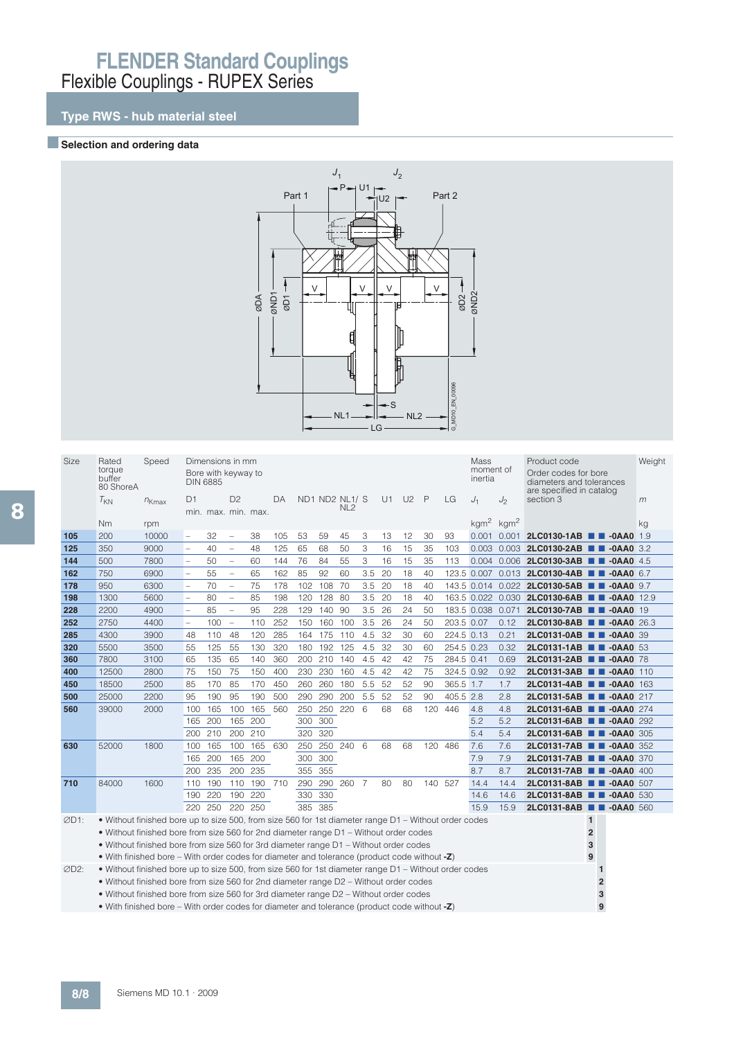## **Type RWS - hub material steel**

### **BSelection and ordering data**



| Size | Rated<br>torque<br>buffer<br>80 ShoreA                                                                | Speed      |                          | Dimensions in mm<br>Bore with keyway to<br><b>DIN 6885</b> |                          |     |     |     |     |                                   |     |    |                |              |            | Mass<br>moment of<br>inertia |       | Product code<br>Order codes for bore<br>diameters and tolerances |                | Weight |
|------|-------------------------------------------------------------------------------------------------------|------------|--------------------------|------------------------------------------------------------|--------------------------|-----|-----|-----|-----|-----------------------------------|-----|----|----------------|--------------|------------|------------------------------|-------|------------------------------------------------------------------|----------------|--------|
|      | $T_{KN}$                                                                                              | $n_{Kmax}$ | D <sub>1</sub>           | min. max. min. max.                                        | D <sub>2</sub>           |     | DА  |     |     | ND1 ND2 NL1/ S<br>NL <sub>2</sub> |     | U1 | U <sub>2</sub> | $\mathsf{P}$ | LG         | $J_1$                        | $J_2$ | are specified in catalog<br>section 3                            |                | m      |
|      | <b>Nm</b>                                                                                             | rpm        |                          |                                                            |                          |     |     |     |     |                                   |     |    |                |              |            | $kgm2$ kgm <sup>2</sup>      |       |                                                                  |                | kg     |
| 105  | 200                                                                                                   | 10000      | $\qquad \qquad -$        | 32                                                         | $\qquad \qquad -$        | 38  | 105 | 53  | 59  | 45                                | 3   | 13 | 12             | 30           | 93         |                              |       | 0.001 0.001 2LC0130-1AB <b>B</b> -0AA0                           |                | 1.9    |
| 125  | 350                                                                                                   | 9000       | $\overline{\phantom{a}}$ | 40                                                         | $\overline{\phantom{a}}$ | 48  | 125 | 65  | 68  | 50                                | 3   | 16 | 15             | 35           | 103        |                              |       | 0.003 0.003 2LC0130-2AB <b>0 -0AA0</b> 3.2                       |                |        |
| 144  | 500                                                                                                   | 7800       | $\overline{\phantom{0}}$ | 50                                                         | $\overline{\phantom{a}}$ | 60  | 144 | 76  | 84  | 55                                | 3   | 16 | 15             | 35           | 113        |                              |       | 0.004 0.006 2LC0130-3AB <b>8 -0AA0</b> 4.5                       |                |        |
| 162  | 750                                                                                                   | 6900       | $\overline{\phantom{a}}$ | 55                                                         | $\overline{\phantom{0}}$ | 65  | 162 | 85  | 92  | 60                                | 3.5 | 20 | 18             | 40           |            |                              |       | 123.5 0.007 0.013 2LC0130-4AB <b>B 0.0AA0</b> 6.7                |                |        |
| 178  | 950                                                                                                   | 6300       | $\overline{a}$           | 70                                                         | $\overline{\phantom{0}}$ | 75  | 178 | 102 | 108 | 70                                | 3.5 | 20 | 18             | 40           |            | 143.5 0.014 0.022            |       | 2LC0130-5AB 2-0AA0 9.7                                           |                |        |
| 198  | 1300                                                                                                  | 5600       | $\overline{a}$           | 80                                                         | $\overline{\phantom{0}}$ | 85  | 198 | 120 | 128 | 80                                | 3.5 | 20 | 18             | 40           |            | 163.5 0.022 0.030            |       | 2LC0130-6AB <b>B</b> -0AA0 12.9                                  |                |        |
| 228  | 2200                                                                                                  | 4900       | $\overline{\phantom{0}}$ | 85                                                         | $\overline{\phantom{0}}$ | 95  | 228 | 129 | 140 | 90                                | 3.5 | 26 | 24             | 50           |            | 183.5 0.038 0.071            |       | 2LC0130-7AB <b>1 -0AA0</b> 19                                    |                |        |
| 252  | 2750                                                                                                  | 4400       | $\qquad \qquad -$        | 100                                                        | $\overline{\phantom{a}}$ | 110 | 252 | 150 | 160 | 100                               | 3.5 | 26 | 24             | 50           | 203.5 0.07 |                              | 0.12  | 2LC0130-8AB <b>B</b> -0AA0 26.3                                  |                |        |
| 285  | 4300                                                                                                  | 3900       | 48                       | 110                                                        | 48                       | 120 | 285 | 164 | 175 | 110                               | 4.5 | 32 | 30             | 60           | 224.5 0.13 |                              | 0.21  | 2LC0131-0AB <b>B</b> -0AA0 39                                    |                |        |
| 320  | 5500                                                                                                  | 3500       | 55                       | 125                                                        | 55                       | 130 | 320 | 180 | 192 | 125                               | 4.5 | 32 | 30             | 60           | 254.5 0.23 |                              | 0.32  | 2LC0131-1AB <b>1 -0AA0</b> 53                                    |                |        |
| 360  | 7800                                                                                                  | 3100       | 65                       | 135                                                        | 65                       | 140 | 360 | 200 | 210 | 140                               | 4.5 | 42 | 42             | 75           | 284.5 0.41 |                              | 0.69  | 2LC0131-2AB 2-0AA0 78                                            |                |        |
| 400  | 12500                                                                                                 | 2800       | 75                       | 150                                                        | 75                       | 150 | 400 | 230 | 230 | 160                               | 4.5 | 42 | 42             | 75           | 324.5 0.92 |                              | 0.92  | 2LC0131-3AB 2-0AA0 110                                           |                |        |
| 450  | 18500                                                                                                 | 2500       | 85                       | 170                                                        | 85                       | 170 | 450 | 260 | 260 | 180                               | 5.5 | 52 | 52             | 90           | 365.5 1.7  |                              | 1.7   | 2LC0131-4AB <b>III -0AA0</b> 163                                 |                |        |
| 500  | 25000                                                                                                 | 2200       | 95                       | 190                                                        | 95                       | 190 | 500 | 290 | 290 | 200                               | 5.5 | 52 | 52             | 90           | 405.5 2.8  |                              | 2.8   | 2LC0131-5AB 2-0AA0 217                                           |                |        |
| 560  | 39000                                                                                                 | 2000       | 100                      | 165                                                        | 100                      | 165 | 560 | 250 | 250 | 220                               | 6   | 68 | 68             | 120          | 446        | 4.8                          | 4.8   | 2LC0131-6AB <b>B</b> -0AA0 274                                   |                |        |
|      |                                                                                                       |            | 165                      | 200                                                        | 165                      | 200 |     | 300 | 300 |                                   |     |    |                |              |            | 5.2                          | 5.2   | 2LC0131-6AB <b>B</b> -0AA0 292                                   |                |        |
|      |                                                                                                       |            | 200                      | 210                                                        | 200                      | 210 |     | 320 | 320 |                                   |     |    |                |              |            | 5.4                          | 5.4   | 2LC0131-6AB <b>III -0AA0</b> 305                                 |                |        |
| 630  | 52000                                                                                                 | 1800       | 100                      | 165                                                        | 100                      | 165 | 630 | 250 |     | 250 240 6                         |     | 68 | 68             | 120          | 486        | 7.6                          | 7.6   | 2LC0131-7AB <b>TH</b> -0AA0 352                                  |                |        |
|      |                                                                                                       |            | 165                      | 200                                                        | 165                      | 200 |     | 300 | 300 |                                   |     |    |                |              |            | 7.9                          | 7.9   | 2LC0131-7AB <b>1 -0AA0</b> 370                                   |                |        |
|      |                                                                                                       |            | 200                      | 235                                                        | 200                      | 235 |     | 355 | 355 |                                   |     |    |                |              |            | 8.7                          | 8.7   | 2LC0131-7AB <b>B</b> -0AA0 400                                   |                |        |
| 710  | 84000                                                                                                 | 1600       | 110                      | 190                                                        | 110                      | 190 | 710 | 290 |     | 290 260 7                         |     | 80 | 80             | 140 527      |            | 14.4                         | 14.4  | 2LC0131-8AB <b>III</b> -0AA0 507                                 |                |        |
|      |                                                                                                       |            | 190                      | 220                                                        | 190                      | 220 |     | 330 | 330 |                                   |     |    |                |              |            | 14.6                         | 14.6  | 2LC0131-8AB <b>1 -0AA0</b> 530                                   |                |        |
|      |                                                                                                       |            | 220                      | 250                                                        | 220                      | 250 |     | 385 | 385 |                                   |     |    |                |              |            | 15.9                         | 15.9  | 2LC0131-8AB <b>III -0AA0</b> 560                                 |                |        |
| ØD1: | • Without finished bore up to size 500, from size 560 for 1st diameter range D1 – Without order codes |            |                          |                                                            |                          |     |     |     |     |                                   |     |    |                |              |            |                              |       |                                                                  | $\mathbf{1}$   |        |
|      | • Without finished bore from size 560 for 2nd diameter range D1 – Without order codes                 |            |                          |                                                            |                          |     |     |     |     |                                   |     |    |                |              |            |                              |       |                                                                  | $\overline{2}$ |        |
|      | • Without finished bore from size 560 for 3rd diameter range D1 – Without order codes                 |            |                          |                                                            |                          |     |     |     |     |                                   |     |    |                |              |            |                              |       |                                                                  | 3              |        |
|      | • With finished bore – With order codes for diameter and tolerance (product code without -Z)          |            |                          |                                                            |                          |     |     |     |     |                                   |     |    |                |              |            |                              |       |                                                                  | 9              |        |
| ØD2: | • Without finished bore up to size 500, from size 560 for 1st diameter range D1 – Without order codes |            |                          |                                                            |                          |     |     |     |     |                                   |     |    |                |              |            |                              |       |                                                                  |                |        |
|      | • Without finished bore from size 560 for 2nd diameter range D2 - Without order codes                 |            |                          |                                                            |                          |     |     |     |     |                                   |     |    |                |              |            |                              |       |                                                                  | $\overline{2}$ |        |
|      | • Without finished bore from size 560 for 3rd diameter range D2 - Without order codes                 |            |                          |                                                            |                          |     |     |     |     |                                   |     |    |                |              |            |                              |       |                                                                  | 3              |        |

• With finished bore – With order codes for diameter and tolerance (product code without **-Z**) **9**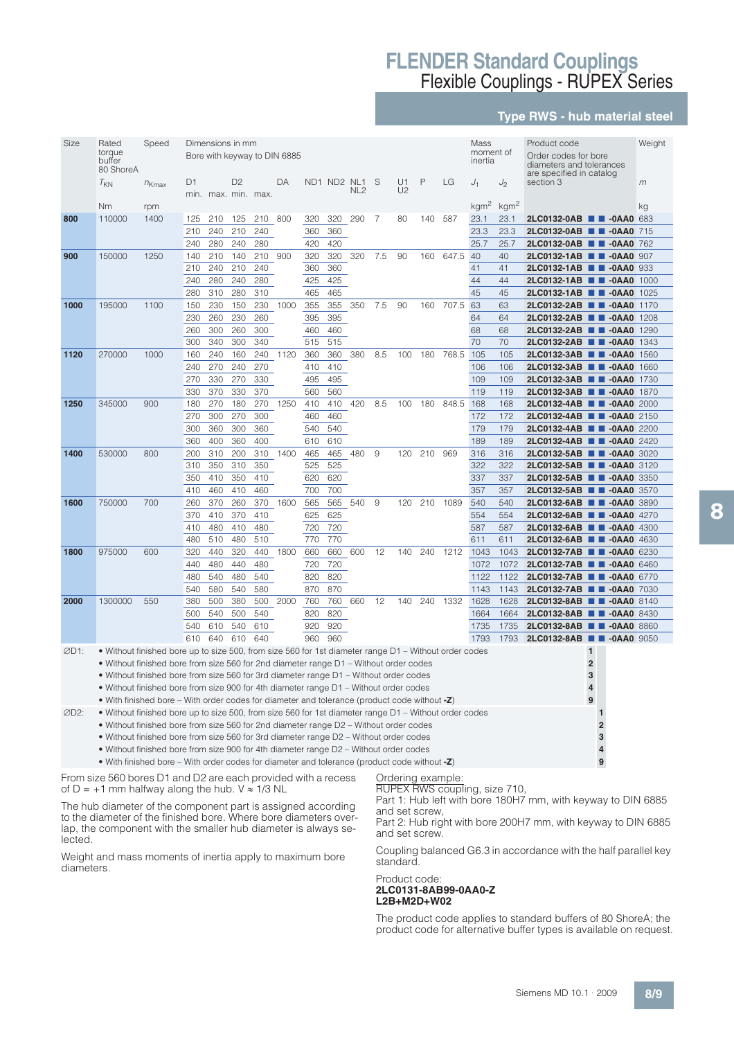### **Type RWS - hub material steel**

| Size | Rated                                                                                                 | Speed      |            |            | Dimensions in mm |                     |                              |            |             |                 |     |                |     |       | Mass             |                  | Product code                                                        |                | Weight |
|------|-------------------------------------------------------------------------------------------------------|------------|------------|------------|------------------|---------------------|------------------------------|------------|-------------|-----------------|-----|----------------|-----|-------|------------------|------------------|---------------------------------------------------------------------|----------------|--------|
|      | torque                                                                                                |            |            |            |                  |                     | Bore with keyway to DIN 6885 |            |             |                 |     |                |     |       | moment of        |                  | Order codes for bore                                                |                |        |
|      | buffer<br>80 ShoreA                                                                                   |            |            |            |                  |                     |                              |            |             |                 |     |                |     |       | inertia          |                  | diameters and tolerances                                            |                |        |
|      |                                                                                                       |            | D1         |            | D <sub>2</sub>   |                     | DA                           |            | ND1 ND2 NL1 |                 | S   | U1             | P   | LG    | $J_1$            | $J_2$            | are specified in catalog<br>section 3                               |                | m      |
|      | $I_{KN}$                                                                                              | $n_{Kmax}$ |            |            |                  | min. max. min. max. |                              |            |             | NL <sub>2</sub> |     | U <sub>2</sub> |     |       |                  |                  |                                                                     |                |        |
|      | Nm                                                                                                    | rpm        |            |            |                  |                     |                              |            |             |                 |     |                |     |       | kgm <sup>2</sup> | kgm <sup>2</sup> |                                                                     |                | kg     |
| 800  | 110000                                                                                                | 1400       | 125        | 210        | 125              | 210                 | 800                          | 320        | 320         | 290             | 7   | 80             | 140 | 587   | 23.1             | 23.1             | 2LC0132-0AB <b>1 -0AA0</b> 683                                      |                |        |
|      |                                                                                                       |            | 210        | 240        | 210              | 240                 |                              | 360        | 360         |                 |     |                |     |       | 23.3             | 23.3             | 2LC0132-0AB ■■ -0AA0                                                |                | 715    |
|      |                                                                                                       |            | 240        | 280        | 240              | 280                 |                              | 420        | 420         |                 |     |                |     |       | 25.7             | 25.7             | 2LC0132-0AB <b>III-0AA0</b> 762                                     |                |        |
| 900  | 150000                                                                                                | 1250       | 140        | 210        | 140              | 210                 | 900                          | 320        | 320         | 320             | 7.5 | 90             | 160 | 647.5 | 40               | 40               | 2LC0132-1AB <b>III</b> -0AA0 907                                    |                |        |
|      |                                                                                                       |            | 210        | 240        | 210              | 240                 |                              | 360        | 360         |                 |     |                |     |       | 41               | 41               | 2LC0132-1AB <b>III</b> -0AA0 933                                    |                |        |
|      |                                                                                                       |            | 240        | 280        | 240              | 280                 |                              | 425        | 425         |                 |     |                |     |       | 44               | 44               | 2LC0132-1AB <b>III-0AA0</b> 1000                                    |                |        |
|      |                                                                                                       |            | 280        | 310        | 280              | 310                 |                              | 465        | 465         |                 |     |                |     |       | 45               | 45               | 2LC0132-1AB ■ ■ -0AA0                                               |                | 1025   |
| 1000 | 195000                                                                                                | 1100       | 150        | 230        | 150              | 230                 | 1000                         | 355        | 355         | 350             | 7.5 | 90             | 160 | 707.5 | 63               | 63               | 2LC0132-2AB <b>III</b> -0AA0 1170                                   |                |        |
|      |                                                                                                       |            | 230        | 260        | 230              | 260                 |                              | 395        | 395         |                 |     |                |     |       | 64               | 64               | 2LC0132-2AB <b>1 -0AA0</b> 1208                                     |                |        |
|      |                                                                                                       |            | 260        | 300        | 260              | 300                 |                              | 460        | 460         |                 |     |                |     |       | 68               | 68               | 2LC0132-2AB <b>III</b> -0AA0 1290                                   |                |        |
|      |                                                                                                       |            | 300        | 340        | 300              | 340                 |                              | 515        | 515         |                 |     |                |     |       | 70               | 70               | 2LC0132-2AB <b>III</b> -0AA0 1343                                   |                |        |
| 1120 | 270000                                                                                                | 1000       | 160        | 240        | 160              | 240                 | 1120                         | 360        | 360         | 380             | 8.5 | 100            | 180 | 768.5 | 105              | 105              | 2LC0132-3AB <b>III-0AA0</b> 1560                                    |                |        |
|      |                                                                                                       |            | 240        | 270        | 240              | 270                 |                              | 410        | 410         |                 |     |                |     |       | 106              | 106              | 2LC0132-3AB <b>III-0AA0</b> 1660                                    |                |        |
|      |                                                                                                       |            | 270<br>330 | 330<br>370 | 270<br>330       | 330<br>370          |                              | 495<br>560 | 495<br>560  |                 |     |                |     |       | 109<br>119       | 109<br>119       | 2LC0132-3AB <b>III-0AA0</b> 1730<br>2LC0132-3AB <b>0 -0AA0</b> 1870 |                |        |
| 1250 | 345000                                                                                                | 900        | 180        | 270        | 180              | 270                 | 1250                         | 410        | 410         | 420             | 8.5 | 100            | 180 | 848.5 | 168              | 168              | 2LC0132-4AB <b>C</b> -0AA0 2000                                     |                |        |
|      |                                                                                                       |            | 270        | 300        | 270              | 300                 |                              | 460        | 460         |                 |     |                |     |       | 172              | 172              | 2LC0132-4AB <b>B</b> -0AA0 2150                                     |                |        |
|      |                                                                                                       |            | 300        | 360        | 300              | 360                 |                              | 540        | 540         |                 |     |                |     |       | 179              | 179              | 2LC0132-4AB <b>0 -0AA0</b> 2200                                     |                |        |
|      |                                                                                                       |            | 360        | 400        | 360              | 400                 |                              | 610        | 610         |                 |     |                |     |       | 189              | 189              | 2LC0132-4AB <b>III-0AA0</b> 2420                                    |                |        |
| 1400 | 530000                                                                                                | 800        | 200        | 310        | 200              | 310                 | 1400                         | 465        | 465         | 480             | 9   | 120            | 210 | 969   | 316              | 316              | 2LC0132-5AB <b>III-0AA0</b> 3020                                    |                |        |
|      |                                                                                                       |            | 310        | 350        | 310              | 350                 |                              | 525        | 525         |                 |     |                |     |       | 322              | 322              | 2LC0132-5AB <b>III -0AA0</b> 3120                                   |                |        |
|      |                                                                                                       |            | 350        | 410        | 350              | 410                 |                              | 620        | 620         |                 |     |                |     |       | 337              | 337              | 2LC0132-5AB <b>III -0AA0</b> 3350                                   |                |        |
|      |                                                                                                       |            | 410        | 460        | 410              | 460                 |                              | 700        | 700         |                 |     |                |     |       | 357              | 357              | 2LC0132-5AB <b>II</b> -0AA0 3570                                    |                |        |
| 1600 | 750000                                                                                                | 700        | 260        | 370        | 260              | 370                 | 1600                         | 565        | 565         | 540             | 9   | 120            | 210 | 1089  | 540              | 540              | 2LC0132-6AB <b>III-0AA0</b> 3890                                    |                |        |
|      |                                                                                                       |            | 370        | 410        | 370              | 410                 |                              | 625        | 625         |                 |     |                |     |       | 554              | 554              | 2LC0132-6AB <b>II</b> -0AA0 4270                                    |                |        |
|      |                                                                                                       |            | 410        | 480        | 410              | 480                 |                              | 720        | 720         |                 |     |                |     |       | 587              | 587              | 2LC0132-6AB <b>III</b> -0AA0 4300                                   |                |        |
|      |                                                                                                       |            | 480        | 510        | 480              | 510                 |                              | 770        | 770         |                 |     |                |     |       | 611              | 611              | 2LC0132-6AB <b>II</b> -0AA0 4630                                    |                |        |
| 1800 | 975000                                                                                                | 600        | 320<br>440 | 440        | 320<br>440       | 440                 | 1800                         | 660        | 660         | 600             | 12  | 140            | 240 | 1212  | 1043             | 1043<br>1072     | 2LC0132-7AB <b>III-0AA0</b> 6230                                    |                |        |
|      |                                                                                                       |            | 480        | 480<br>540 | 480              | 480<br>540          |                              | 720<br>820 | 720<br>820  |                 |     |                |     |       | 1072<br>1122     | 1122             | 2LC0132-7AB <b>0 -0AA0</b> 6460<br>2LC0132-7AB <b>B</b> -0AA0 6770  |                |        |
|      |                                                                                                       |            | 540        | 580        | 540              | 580                 |                              | 870        | 870         |                 |     |                |     |       | 1143             | 1143             | 2LC0132-7AB <b>III -0AA0</b> 7030                                   |                |        |
| 2000 | 1300000                                                                                               | 550        | 380        | 500        | 380              | 500                 | 2000                         | 760        | 760         | 660             | 12  | 140            | 240 | 1332  | 1628             | 1628             | 2LC0132-8AB <b>III-0AA0</b> 8140                                    |                |        |
|      |                                                                                                       |            | 500        | 540        | 500              | 540                 |                              | 820        | 820         |                 |     |                |     |       | 1664             | 1664             | 2LC0132-8AB <b>III-0AA0</b> 8430                                    |                |        |
|      |                                                                                                       |            | 540        | 610        | 540              | 610                 |                              | 920        | 920         |                 |     |                |     |       | 1735             | 1735             | 2LC0132-8AB <b>III-0AA0</b> 8860                                    |                |        |
|      |                                                                                                       |            | 610        | 640        | 610              | 640                 |                              | 960        | 960         |                 |     |                |     |       | 1793             | 1793             | 2LC0132-8AB ■■                                                      | $-0AA0$ 9050   |        |
| ØD1: | • Without finished bore up to size 500, from size 560 for 1st diameter range D1 – Without order codes |            |            |            |                  |                     |                              |            |             |                 |     |                |     |       |                  |                  | $\mathbf{1}$                                                        |                |        |
|      | . Without finished bore from size 560 for 2nd diameter range D1 - Without order codes                 |            |            |            |                  |                     |                              |            |             |                 |     |                |     |       |                  |                  | $\overline{2}$                                                      |                |        |
|      | • Without finished bore from size 560 for 3rd diameter range D1 – Without order codes                 |            |            |            |                  |                     |                              |            |             |                 |     |                |     |       |                  |                  | 3                                                                   |                |        |
|      | • Without finished bore from size 900 for 4th diameter range D1 – Without order codes                 |            |            |            |                  |                     |                              |            |             |                 |     |                |     |       |                  |                  | 4                                                                   |                |        |
|      | • With finished bore – With order codes for diameter and tolerance (product code without -Z)          |            |            |            |                  |                     |                              |            |             |                 |     |                |     |       |                  |                  | 9                                                                   |                |        |
| ØD2: | • Without finished bore up to size 500, from size 560 for 1st diameter range D1 – Without order codes |            |            |            |                  |                     |                              |            |             |                 |     |                |     |       |                  |                  |                                                                     | $\mathbf{1}$   |        |
|      | • Without finished bore from size 560 for 2nd diameter range D2 – Without order codes                 |            |            |            |                  |                     |                              |            |             |                 |     |                |     |       |                  |                  |                                                                     | $\overline{2}$ |        |
|      | • Without finished bore from size 560 for 3rd diameter range D2 – Without order codes                 |            |            |            |                  |                     |                              |            |             |                 |     |                |     |       |                  |                  |                                                                     | 3              |        |
|      | • Without finished bore from size 900 for 4th diameter range D2 – Without order codes                 |            |            |            |                  |                     |                              |            |             |                 |     |                |     |       |                  |                  |                                                                     | 4              |        |
|      | • With finished bore – With order codes for diameter and tolerance (product code without -Z)          |            |            |            |                  |                     |                              |            |             |                 |     |                |     |       |                  |                  |                                                                     | 9              |        |

From size 560 bores D1 and D2 are each provided with a recess of D = +1 mm halfway along the hub.  $V \approx 1/3$  NL

The hub diameter of the component part is assigned according to the diameter of the finished bore. Where bore diameters overlap, the component with the smaller hub diameter is always selected.

Weight and mass moments of inertia apply to maximum bore diameters.

## Ordering example:

RUPEX RWS coupling, size 710,

Part 1: Hub left with bore 180H7 mm, with keyway to DIN 6885 and set screw,

Part 2: Hub right with bore 200H7 mm, with keyway to DIN 6885 and set screw.

Coupling balanced G6.3 in accordance with the half parallel key standard.

Product code: **2LC0131-8AB99-0AA0-Z L2B+M2D+W02**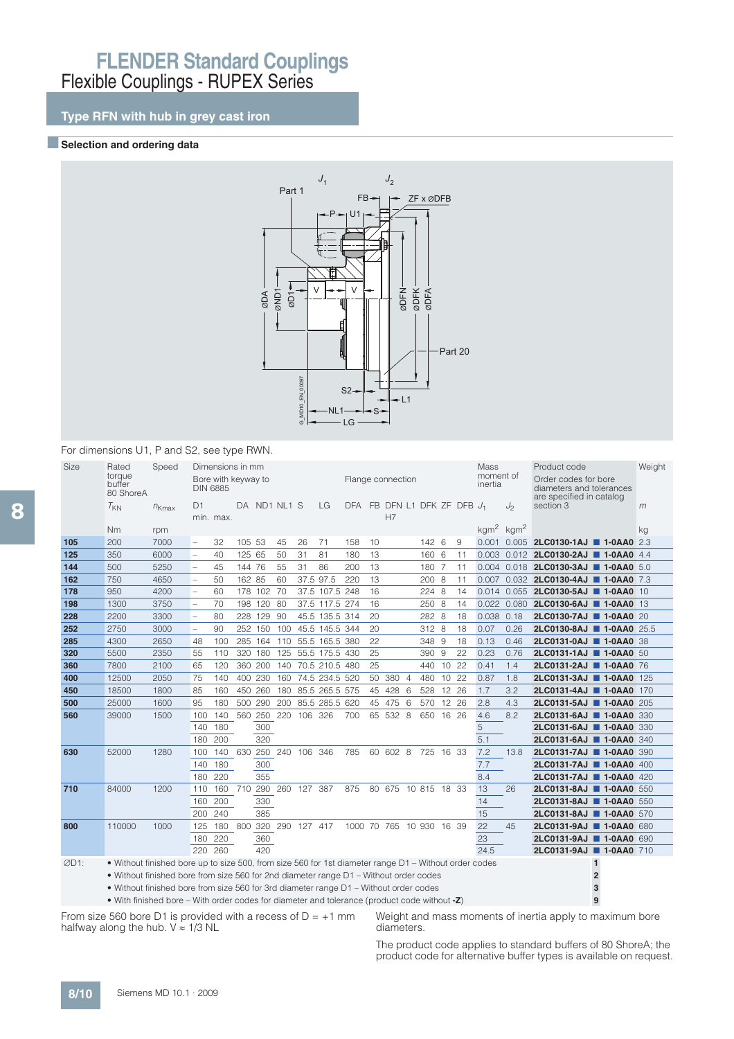## **Type RFN with hub in grey cast iron**

### **Exerction and ordering data**



#### For dimensions U1, P and S2, see type RWN.

| Size | Rated<br>torque<br>buffer<br>80 ShoreA                                                                | Speed      | D1                       | Dimensions in mm<br>Bore with keyway to<br><b>DIN 6885</b> |        |             | DA ND1 NL1 S |                     | LG             | Flange connection<br>DFA FB DFN L1 DFK ZF DFB J1 |    |                     |     |           |       |    | <b>Mass</b><br>moment of<br>inertia | $J_2$ | Product code<br>Order codes for bore<br>diameters and tolerances<br>are specified in catalog<br>section 3 |                | Weight<br>m |
|------|-------------------------------------------------------------------------------------------------------|------------|--------------------------|------------------------------------------------------------|--------|-------------|--------------|---------------------|----------------|--------------------------------------------------|----|---------------------|-----|-----------|-------|----|-------------------------------------|-------|-----------------------------------------------------------------------------------------------------------|----------------|-------------|
|      | $T_{KN}$                                                                                              | $n_{Kmax}$ |                          | min. max.                                                  |        |             |              |                     |                |                                                  |    | H7                  |     |           |       |    |                                     |       |                                                                                                           |                |             |
|      | N <sub>m</sub>                                                                                        | rpm        |                          |                                                            |        |             |              |                     |                |                                                  |    |                     |     |           |       |    | $\text{kgm}^2$ kgm <sup>2</sup>     |       |                                                                                                           |                | kg          |
| 105  | 200                                                                                                   | 7000       | $\overline{\phantom{a}}$ | 32                                                         | 105 53 |             | 45           | 26                  | 71             | 158                                              | 10 |                     |     | 142 6     |       | 9  |                                     |       | 0.001 0.005 <b>2LC0130-1AJ 1-0AA0</b> 2.3                                                                 |                |             |
| 125  | 350                                                                                                   | 6000       | $\overline{\phantom{a}}$ | 40                                                         | 125 65 |             | 50           | 31                  | 81             | 180                                              | 13 |                     |     | 160 6     |       | 11 | 0.003                               |       | 0.012 2LC0130-2AJ 1-0AA0 4.4                                                                              |                |             |
| 144  | 500                                                                                                   | 5250       | $\overline{\phantom{0}}$ | 45                                                         | 144 76 |             | 55           | 31                  | 86             | 200                                              | 13 |                     |     | 180 7     |       | 11 | 0.004                               |       | 0.018 2LC0130-3AJ 1-0AA0 5.0                                                                              |                |             |
| 162  | 750                                                                                                   | 4650       | $\overline{\phantom{0}}$ | 50                                                         | 162 85 |             | 60           |                     | 37.5 97.5      | 220                                              | 13 |                     |     | 200 8     |       | 11 | 0.007                               |       | 0.032 2LC0130-4AJ 1-0AA0 7.3                                                                              |                |             |
| 178  | 950                                                                                                   | 4200       | $\overline{\phantom{a}}$ | 60                                                         |        | 178 102 70  |              |                     | 37.5 107.5 248 |                                                  | 16 |                     |     | 224 8     |       | 14 | 0.014                               | 0.055 | 2LC0130-5AJ 1-0AA0 10                                                                                     |                |             |
| 198  | 1300                                                                                                  | 3750       | $\overline{\phantom{a}}$ | 70                                                         |        | 198 120 80  |              |                     | 37.5 117.5 274 |                                                  | 16 |                     |     | 250 8     |       | 14 |                                     |       | 0.022 0.080 2LC0130-6AJ 1-0AA0 13                                                                         |                |             |
| 228  | 2200                                                                                                  | 3300       | $\overline{a}$           | 80                                                         | 228    | 129         | 90           |                     | 45.5 135.5 314 |                                                  | 20 |                     |     | 282 8     |       | 18 | 0.038                               | 0.18  | 2LC0130-7AJ ■ 1-0AA0 20                                                                                   |                |             |
| 252  | 2750                                                                                                  | 3000       | $\overline{\phantom{a}}$ | 90                                                         |        | 252 150     | 100          |                     | 45.5 145.5 344 |                                                  | 20 |                     |     | 312 8     |       | 18 | 0.07                                | 0.26  | 2LC0130-8AJ 1-0AA0 25.5                                                                                   |                |             |
| 285  | 4300                                                                                                  | 2650       | 48                       | 100                                                        | 285    | 164         | 110          |                     | 55.5 165.5 380 |                                                  | 22 |                     |     | 348 9     |       | 18 | 0.13                                | 0.46  | 2LC0131-0AJ 1-0AA0 38                                                                                     |                |             |
| 320  | 5500                                                                                                  | 2350       | 55                       | 110                                                        |        | 320 180     | 125          |                     | 55.5 175.5 430 |                                                  | 25 |                     |     | 390 9     |       | 22 | 0.23                                | 0.76  | 2LC0131-1AJ 1-0AA0 50                                                                                     |                |             |
| 360  | 7800                                                                                                  | 2100       | 65                       | 120                                                        | 360    | 200         | 140          |                     | 70.5 210.5 480 |                                                  | 25 |                     |     | 440 10    |       | 22 | 0.41                                | 1.4   | 2LC0131-2AJ 1-0AA0 76                                                                                     |                |             |
| 400  | 12500                                                                                                 | 2050       | 75                       | 140                                                        | 400    | 230         | 160          |                     | 74.5 234.5 520 |                                                  | 50 | 380 4               |     | 480       | 10    | 22 | 0.87                                | 1.8   | 2LC0131-3AJ ■ 1-0AA0 125                                                                                  |                |             |
| 450  | 18500                                                                                                 | 1800       | 85                       | 160                                                        | 450    | 260         | 180          |                     | 85.5 265.5 575 |                                                  | 45 | 428 6               |     | 528       | 12 26 |    | 1.7                                 | 3.2   | 2LC0131-4AJ 1-0AA0 170                                                                                    |                |             |
| 500  | 25000                                                                                                 | 1600       | 95                       | 180                                                        |        | 500 290     | 200          |                     | 85.5 285.5 620 |                                                  |    | 45 475              | - 6 | 570 12 26 |       |    | 2.8                                 | 4.3   | 2LC0131-5AJ 1-0AA0 205                                                                                    |                |             |
| 560  | 39000                                                                                                 | 1500       | 100                      | 140                                                        |        | 560 250 220 |              | 106 326             |                | 700                                              |    | 65 532 8            |     | 650 16 26 |       |    | 4.6                                 | 8.2   | 2LC0131-6AJ 1-0AA0 330                                                                                    |                |             |
|      |                                                                                                       |            | 140                      | 180                                                        |        | 300         |              |                     |                |                                                  |    |                     |     |           |       |    | 5                                   |       | 2LC0131-6AJ ■ 1-0AA0 330                                                                                  |                |             |
|      |                                                                                                       |            | 180                      | 200                                                        |        | 320         |              |                     |                |                                                  |    |                     |     |           |       |    | 5.1                                 |       | 2LC0131-6AJ 1-0AA0 340                                                                                    |                |             |
| 630  | 52000                                                                                                 | 1280       | 100                      | 140                                                        |        |             | 630 250 240  | 106 346             |                | 785                                              |    | 60 602 8            |     | 725 16 33 |       |    | 7.2                                 | 13.8  | 2LC0131-7AJ 1-0AA0 390                                                                                    |                |             |
|      |                                                                                                       |            | 140                      | 180                                                        |        | 300         |              |                     |                |                                                  |    |                     |     |           |       |    | 7.7                                 |       | 2LC0131-7AJ 1-0AA0 400                                                                                    |                |             |
|      |                                                                                                       |            | 180                      | 220                                                        |        | 355         |              |                     |                |                                                  |    |                     |     |           |       |    | 8.4                                 |       | 2LC0131-7AJ 1-0AA0 420                                                                                    |                |             |
| 710  | 84000                                                                                                 | 1200       | 110                      | 160                                                        | 710    |             |              | 290 260 127 387     |                | 875                                              |    | 80 675 10 815 18 33 |     |           |       |    | 13                                  | 26    | 2LC0131-8AJ 1-0AA0 550                                                                                    |                |             |
|      |                                                                                                       |            | 160                      | 200                                                        |        | 330         |              |                     |                |                                                  |    |                     |     |           |       |    | 14                                  |       | 2LC0131-8AJ 1-0AA0 550                                                                                    |                |             |
|      |                                                                                                       |            |                          | 200 240                                                    |        | 385         |              |                     |                |                                                  |    |                     |     |           |       |    | 15                                  |       | 2LC0131-8AJ 1-0AA0 570                                                                                    |                |             |
| 800  | 110000                                                                                                | 1000       | 125                      | 180                                                        |        |             |              | 800 320 290 127 417 |                | 1000 70 765 10 930 16 39                         |    |                     |     |           |       |    | 22                                  | 45    | 2LC0131-9AJ ■ 1-0AA0 680                                                                                  |                |             |
|      |                                                                                                       |            | 180                      | 220                                                        |        | 360         |              |                     |                |                                                  |    |                     |     |           |       |    | 23                                  |       | 2LC0131-9AJ 1-0AA0 690                                                                                    |                |             |
|      |                                                                                                       |            |                          | 220 260                                                    |        | 420         |              |                     |                |                                                  |    |                     |     |           |       |    | 24.5                                |       | 2LC0131-9AJ 1-0AA0 710                                                                                    |                |             |
| ØD1: | . Without finished bore up to size 500, from size 560 for 1st diameter range D1 - Without order codes |            |                          |                                                            |        |             |              |                     |                |                                                  |    |                     |     |           |       |    |                                     |       |                                                                                                           | $\mathbf{1}$   |             |
|      | • Without finished bore from size 560 for 2nd diameter range D1 - Without order codes                 |            |                          |                                                            |        |             |              |                     |                |                                                  |    |                     |     |           |       |    |                                     |       |                                                                                                           | $\overline{2}$ |             |
|      | • Without finished bore from size 560 for 3rd diameter range D1 - Without order codes                 |            |                          |                                                            |        |             |              |                     |                |                                                  |    |                     |     |           |       |    |                                     |       |                                                                                                           | $\overline{3}$ |             |

• With finished bore – With order codes for diameter and tolerance (product code without **-Z**) **9**

From size 560 bore D1 is provided with a recess of  $D = +1$  mm halfway along the hub.  $V \approx 1/3$  NL

Weight and mass moments of inertia apply to maximum bore diameters.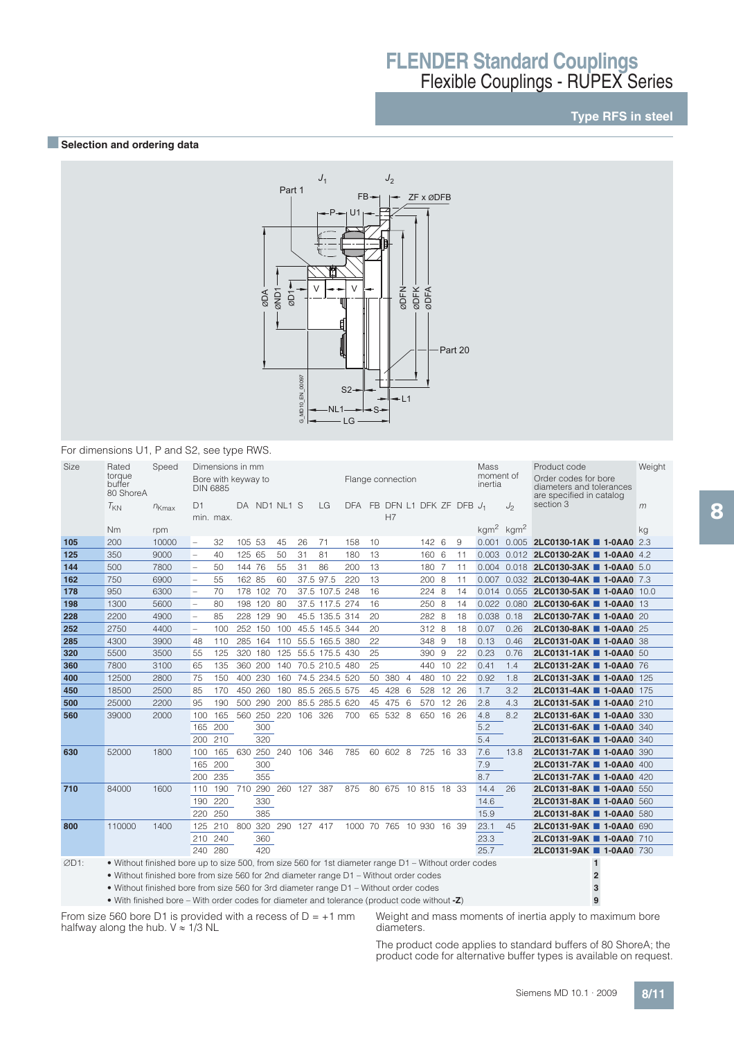## **Type RFS in steel**

### **BSelection and ordering data**



### For dimensions U1, P and S2, see type RWS.

| Size | Rated<br>torque<br>buffer<br>80 ShoreA                                                                | Speed      |                          | Dimensions in mm<br>Bore with keyway to<br><b>DIN 6885</b> |        |             |              |                 |                | Flange connection        |    |                     |   |           |       |    | Mass<br>moment of<br>inertia |       | Product code<br>Order codes for bore<br>diameters and tolerances<br>are specified in catalog | Weight |
|------|-------------------------------------------------------------------------------------------------------|------------|--------------------------|------------------------------------------------------------|--------|-------------|--------------|-----------------|----------------|--------------------------|----|---------------------|---|-----------|-------|----|------------------------------|-------|----------------------------------------------------------------------------------------------|--------|
|      | $T_{KN}$                                                                                              | $n_{Kmax}$ | D1                       | min. max.                                                  |        |             | DA ND1 NL1 S |                 | LG             | DFA FB DFN L1 DFK ZF DFB |    | H7                  |   |           |       |    | $J_1$                        | $J_2$ | section 3                                                                                    | m      |
|      | Nm                                                                                                    | rpm        |                          |                                                            |        |             |              |                 |                |                          |    |                     |   |           |       |    | $kgm2$ kgm <sup>2</sup>      |       |                                                                                              | kg     |
| 105  | 200                                                                                                   | 10000      | $\overline{\phantom{a}}$ | 32                                                         | 105 53 |             | 45           | 26              | 71             | 158                      | 10 |                     |   | 142 6     |       | 9  |                              |       | 0.001 0.005 2LC0130-1AK 1-0AA0 2.3                                                           |        |
| 125  | 350                                                                                                   | 9000       | $\overline{\phantom{a}}$ | 40                                                         | 125 65 |             | 50           | 31              | 81             | 180                      | 13 |                     |   | 160 6     |       | 11 |                              |       | 0.003 0.012 2LC0130-2AK 1-0AA0 4.2                                                           |        |
| 144  | 500                                                                                                   | 7800       | $\overline{a}$           | 50                                                         | 144 76 |             | 55           | 31              | 86             | 200                      | 13 |                     |   | 180 7     |       | 11 |                              |       | 0.004 0.018 2LC0130-3AK 1-0AA0 5.0                                                           |        |
| 162  | 750                                                                                                   | 6900       | $\overline{a}$           | 55                                                         | 162 85 |             | 60           |                 | 37.5 97.5      | 220                      | 13 |                     |   | 200 8     |       | 11 |                              |       | 0.007 0.032 2LC0130-4AK 1-0AA0 7.3                                                           |        |
| 178  | 950                                                                                                   | 6300       | $\overline{\phantom{0}}$ | 70                                                         |        | 178 102 70  |              |                 | 37.5 107.5 248 |                          | 16 |                     |   | 224 8     |       | 14 |                              |       | 0.014 0.055 2LC0130-5AK 1-0AA0 10.0                                                          |        |
| 198  | 1300                                                                                                  | 5600       | $\overline{\phantom{0}}$ | 80                                                         |        | 198 120 80  |              |                 | 37.5 117.5 274 |                          | 16 |                     |   | 250 8     |       | 14 |                              |       | 0.022 0.080 2LC0130-6AK 1-0AA0 13                                                            |        |
| 228  | 2200                                                                                                  | 4900       | $\overline{\phantom{a}}$ | 85                                                         |        | 228 129     | 90           |                 | 45.5 135.5 314 |                          | 20 |                     |   | 282 8     |       | 18 | 0.038 0.18                   |       | 2LC0130-7AK 1-0AA0 20                                                                        |        |
| 252  | 2750                                                                                                  | 4400       | $\overline{\phantom{0}}$ | 100                                                        | 252    | 150         | 100          |                 | 45.5 145.5 344 |                          | 20 |                     |   | 312 8     |       | 18 | 0.07                         | 0.26  | 2LC0130-8AK 1-0AA0 25                                                                        |        |
| 285  | 4300                                                                                                  | 3900       | 48                       | 110                                                        | 285    | 164 110     |              |                 | 55.5 165.5 380 |                          | 22 |                     |   | 348 9     |       | 18 | 0.13                         | 0.46  | <b>2LC0131-0AK 1-0AA0 38</b>                                                                 |        |
| 320  | 5500                                                                                                  | 3500       | 55                       | 125                                                        | 320    | 180         | 125          |                 | 55.5 175.5 430 |                          | 25 |                     |   | 390 9     |       | 22 | 0.23                         | 0.76  | 2LC0131-1AK 1-0AA0 50                                                                        |        |
| 360  | 7800                                                                                                  | 3100       | 65                       | 135                                                        | 360    | 200         | 140          |                 | 70.5 210.5 480 |                          | 25 |                     |   | 440 10 22 |       |    | 0.41                         | 1.4   | 2LC0131-2AK 1-0AA0 76                                                                        |        |
| 400  | 12500                                                                                                 | 2800       | 75                       | 150                                                        | 400    | 230         | 160          |                 | 74.5 234.5 520 |                          | 50 | 380 4               |   | 480       | 10 22 |    | 0.92                         | 1.8   | 2LC0131-3AK 1-0AA0 125                                                                       |        |
| 450  | 18500                                                                                                 | 2500       | 85                       | 170                                                        | 450    | 260         | 180          |                 | 85.5 265.5 575 |                          | 45 | 428                 | 6 | 528       | 12 26 |    | 1.7                          | 3.2   | 2LC0131-4AK 1-0AA0 175                                                                       |        |
| 500  | 25000                                                                                                 | 2200       | 95                       | 190                                                        | 500    | 290         | 200          |                 | 85.5 285.5 620 |                          | 45 | 475                 | 6 | 570       | 12 26 |    | 2.8                          | 4.3   | 2LC0131-5AK 1-0AA0 210                                                                       |        |
| 560  | 39000                                                                                                 | 2000       | 100                      | 165                                                        |        | 560 250 220 |              | 106 326         |                | 700                      |    | 65 532 8            |   | 650 16 26 |       |    | 4.8                          | 8.2   | 2LC0131-6AK 1-0AA0 330                                                                       |        |
|      |                                                                                                       |            | 165 200                  |                                                            |        | 300         |              |                 |                |                          |    |                     |   |           |       |    | 5.2                          |       | 2LC0131-6AK ■ 1-0AA0 340                                                                     |        |
|      |                                                                                                       |            | 200 210                  |                                                            |        | 320         |              |                 |                |                          |    |                     |   |           |       |    | 5.4                          |       | 2LC0131-6AK ■ 1-0AA0 340                                                                     |        |
| 630  | 52000                                                                                                 | 1800       | 100                      | 165                                                        | 630    | 250 240     |              | 106 346         |                | 785                      |    | 60 602 8 725 16 33  |   |           |       |    | 7.6                          | 13.8  | 2LC0131-7AK 1-0AA0 390                                                                       |        |
|      |                                                                                                       |            | 165 200                  |                                                            |        | 300         |              |                 |                |                          |    |                     |   |           |       |    | 7.9                          |       | 2LC0131-7AK 1-0AA0 400                                                                       |        |
|      |                                                                                                       |            | 200                      | 235                                                        |        | 355         |              |                 |                |                          |    |                     |   |           |       |    | 8.7                          |       | 2LC0131-7AK 1-0AA0 420                                                                       |        |
| 710  | 84000                                                                                                 | 1600       | 110                      | 190 710                                                    |        |             |              | 290 260 127 387 |                | 875                      |    | 80 675 10 815 18 33 |   |           |       |    | 14.4                         | 26    | 2LC0131-8AK 1-0AA0 550                                                                       |        |
|      |                                                                                                       |            | 190                      | 220                                                        |        | 330         |              |                 |                |                          |    |                     |   |           |       |    | 14.6                         |       | 2LC0131-8AK 1-0AA0 560                                                                       |        |
|      |                                                                                                       |            | 220                      | 250                                                        |        | 385         |              |                 |                |                          |    |                     |   |           |       |    | 15.9                         |       | 2LC0131-8AK 1-0AA0 580                                                                       |        |
| 800  | 110000                                                                                                | 1400       | 125                      | 210 800 320 290                                            |        |             |              | 127 417         |                | 1000 70 765 10 930 16 39 |    |                     |   |           |       |    | 23.1                         | 45    | 2LC0131-9AK 1-0AA0 690                                                                       |        |
|      |                                                                                                       |            | 210 240                  |                                                            |        | 360         |              |                 |                |                          |    |                     |   |           |       |    | 23.3                         |       | 2LC0131-9AK 1-0AA0 710                                                                       |        |
|      |                                                                                                       |            | 240 280                  |                                                            |        | 420         |              |                 |                |                          |    |                     |   |           |       |    | 25.7                         |       | 2LC0131-9AK ■ 1-0AA0 730                                                                     |        |
| ØD1: | • Without finished bore up to size 500, from size 560 for 1st diameter range D1 – Without order codes |            |                          |                                                            |        |             |              |                 |                |                          |    |                     |   |           |       |    |                              |       | 1                                                                                            |        |
|      | • Without finished bore from size 560 for 2nd diameter range D1 - Without order codes                 |            |                          |                                                            |        |             |              |                 |                |                          |    |                     |   |           |       |    |                              |       | $\overline{2}$                                                                               |        |
|      | • Without finished bore from size 560 for 3rd diameter range D1 - Without order codes                 |            |                          |                                                            |        |             |              |                 |                |                          |    |                     |   |           |       |    |                              |       | 3                                                                                            |        |
|      |                                                                                                       |            |                          |                                                            |        |             |              |                 |                |                          |    |                     |   |           |       |    |                              |       |                                                                                              |        |

• With finished bore – With order codes for diameter and tolerance (product code without **-Z**) **9**

From size 560 bore D1 is provided with a recess of  $D = +1$  mm halfway along the hub.  $V \approx 1/3$  NL

Weight and mass moments of inertia apply to maximum bore diameters.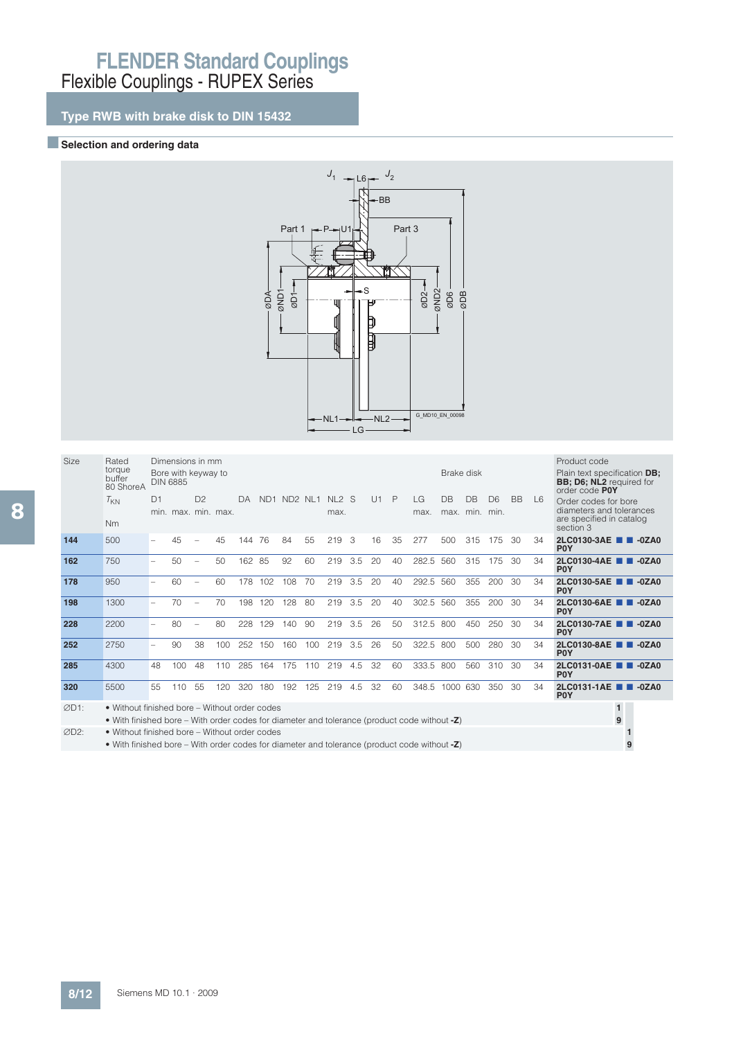## **Type RWB with brake disk to DIN 15432**

### **BSelection and ordering data**



|   | Size | Rated                         |    | Dimensions in mm                       |                |    |        |         |     |
|---|------|-------------------------------|----|----------------------------------------|----------------|----|--------|---------|-----|
|   |      | torque<br>buffer<br>80 ShoreA |    | Bore with keyway to<br><b>DIN 6885</b> |                |    |        |         |     |
|   |      | $\tau_{\text{KN}}$            | D1 |                                        | D <sub>2</sub> |    | DA     | ND1 ND2 |     |
| 8 |      |                               |    | min. max. min. max.                    |                |    |        |         |     |
|   |      | Nm                            |    |                                        |                |    |        |         |     |
|   | 144  | 500                           |    | 45                                     |                | 45 | 144 76 |         | 84  |
|   | 162  | 750                           |    | 50                                     |                | 50 | 162 85 |         | 92  |
|   | 178  | 950                           |    | 60                                     |                | 60 | 178    | 102     | 108 |

| <b>Size</b> | Rated                                                                                                                                         |                          | Dimensions in mm    |                |     |     |     |             |     |                 |     |    |    |             |                        |           |                        |           |                | Product code                                                                               |
|-------------|-----------------------------------------------------------------------------------------------------------------------------------------------|--------------------------|---------------------|----------------|-----|-----|-----|-------------|-----|-----------------|-----|----|----|-------------|------------------------|-----------|------------------------|-----------|----------------|--------------------------------------------------------------------------------------------|
|             | torque<br>buffer<br>80 ShoreA                                                                                                                 | <b>DIN 6885</b>          | Bore with keyway to |                |     |     |     |             |     |                 |     |    |    |             | Brake disk             |           |                        |           |                | Plain text specification <b>DB</b> ;<br><b>BB</b> ; D6; NL2 required for<br>order code POY |
|             | $T_{KN}$                                                                                                                                      | D1                       | min. max. min. max. | D <sup>2</sup> |     | DA  |     | ND1 ND2 NL1 |     | $NL2$ S<br>max. |     | U1 | P  | LG.<br>max. | <b>DB</b><br>max. min. | <b>DB</b> | D <sub>6</sub><br>min. | <b>BB</b> | L <sub>6</sub> | Order codes for bore<br>diameters and tolerances<br>are specified in catalog               |
|             | Nm                                                                                                                                            |                          |                     |                |     |     |     |             |     |                 |     |    |    |             |                        |           |                        |           |                | section 3                                                                                  |
| 144         | 500                                                                                                                                           |                          | 45                  |                | 45  | 144 | -76 | 84          | 55  | 219             | 3   | 16 | 35 | 277         | 500                    | 315       | 175                    | 30        | 34             | 2LC0130-3AE 2 -0ZA0<br>P <sub>0</sub> Y                                                    |
| 162         | 750                                                                                                                                           |                          | 50                  |                | 50  | 162 | -85 | 92          | 60  | 219             | 3.5 | 20 | 40 | 282.5       | 560                    | 315       | 175                    | 30        | 34             | 2LC0130-4AE 2-0ZA0<br>P <sub>0</sub> Y                                                     |
| 178         | 950                                                                                                                                           | $\overline{\phantom{0}}$ | 60                  |                | 60  | 178 | 102 | 108         | 70  | 219             | 3.5 | 20 | 40 | 292.5       | 560                    | 355       | 200                    | 30        | 34             | 2LC0130-5AE <b>1 4</b> -0ZA0<br>P <sub>0</sub> Y                                           |
| 198         | 1300                                                                                                                                          | $\overline{\phantom{0}}$ | 70                  |                | 70  | 198 | 120 | 128         | 80  | 219             | 3.5 | 20 | 40 | 302.5       | 560                    | 355       | 200                    | 30        | 34             | 2LC0130-6AE 2 -0ZA0<br><b>POY</b>                                                          |
| 228         | 2200                                                                                                                                          |                          | 80                  |                | 80  | 228 | 129 | 140         | 90  | 219             | 3.5 | 26 | 50 | 312.5       | 800                    | 450       | 250                    | 30        | 34             | 2LC0130-7AE 2 -0ZA0<br>P <sub>0</sub> Y                                                    |
| 252         | 2750                                                                                                                                          |                          | 90                  | 38             | 100 | 252 | 150 | 160         | 100 | 219             | 3.5 | 26 | 50 | 322.5       | 800                    | 500       | 280                    | 30        | 34             | 2LC0130-8AE <b>1 4</b> -0ZA0<br>P <sub>0</sub> Y                                           |
| 285         | 4300                                                                                                                                          | 48                       | 100                 | 48             | 110 | 285 | 164 | 175         | 110 | 219             | 4.5 | 32 | 60 | 333.5       | 800                    | 560       | 310                    | 30        | 34             | 2LC0131-0AE 2-0ZA0<br>P <sub>0</sub> Y                                                     |
| 320         | 5500                                                                                                                                          | 55                       | 110                 | 55             | 120 | 320 | 180 | 192         | 125 | 219             | 4.5 | 32 | 60 | 348.5       | 1000                   | 630       | 350                    | 30        | 34             | 2LC0131-1AE 2 -0ZA0<br><b>POY</b>                                                          |
| ØD1:        | • Without finished bore - Without order codes                                                                                                 |                          |                     |                |     |     |     |             |     |                 |     |    |    |             |                        |           |                        |           |                | $\mathbf{1}$<br>9                                                                          |
| ØD2:        | • With finished bore – With order codes for diameter and tolerance (product code without -Z)<br>• Without finished bore - Without order codes |                          |                     |                |     |     |     |             |     |                 |     |    |    |             |                        |           |                        |           |                |                                                                                            |
|             |                                                                                                                                               |                          |                     |                |     |     |     |             |     |                 |     |    |    |             |                        |           |                        |           |                |                                                                                            |
|             | • With finished bore – With order codes for diameter and tolerance (product code without $-Z$ )                                               |                          |                     |                |     |     |     |             |     |                 |     |    |    |             |                        |           |                        |           |                | 9                                                                                          |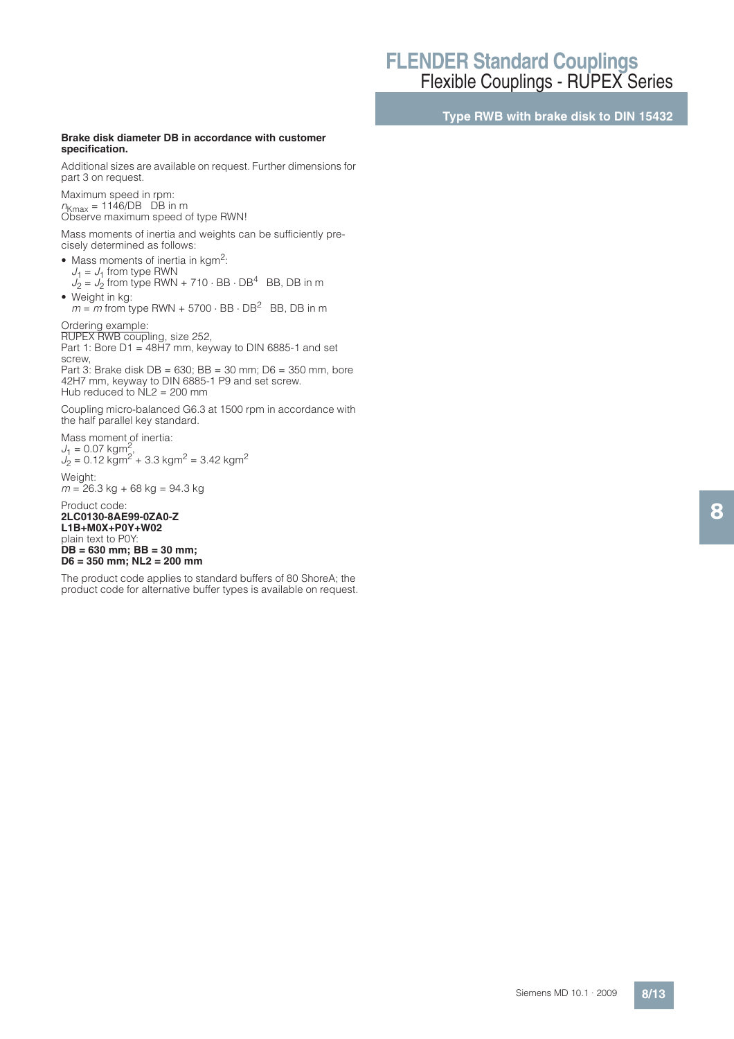**Type RWB with brake disk to DIN 15432**

#### **Brake disk diameter DB in accordance with customer specification.**

Additional sizes are available on request. Further dimensions for part 3 on request.

Maximum speed in rpm:  $n_{Kmax}$  = 1146/DB DB in m Observe maximum speed of type RWN!

Mass moments of inertia and weights can be sufficiently precisely determined as follows:

- $\bullet$  Mass moments of inertia in kgm<sup>2</sup>:
- $J_1 = J_1$  from type RWN<br> $J_2 = J_2$  from type RWN + 710  $\cdot$  BB  $\cdot$  DB<sup>4</sup> BB, DB in m • Weight in kg:
- $m = m$  from type RWN + 5700  $\cdot$  BB  $\cdot$  DB<sup>2</sup> BB, DB in m

Ordering example:

RUPEX RWB coupling, size 252, Part 1: Bore D1 = 48H7 mm, keyway to DIN 6885-1 and set screw,

Part 3: Brake disk DB = 630; BB = 30 mm; D6 = 350 mm, bore 42H7 mm, keyway to DIN 6885-1 P9 and set screw. Hub reduced to  $NL2 = 200$  mm

Coupling micro-balanced G6.3 at 1500 rpm in accordance with the half parallel key standard.

Mass moment of inertia:  $J_1 = 0.07$  kgm<sup>2</sup>,<br> $J_2 = 0.12$  kgm<sup>2</sup> + 3.3 kgm<sup>2</sup> = 3.42 kgm<sup>2</sup> Weight:

 $m = 26.3$  kg + 68 kg = 94.3 kg

Product code: **2LC0130-8AE99-0ZA0-Z L1B+M0X+P0Y+W02** plain text to P0Y: **DB = 630 mm; BB = 30 mm; D6 = 350 mm; NL2 = 200 mm**

The product code applies to standard buffers of 80 ShoreA; the product code for alternative buffer types is available on request. 8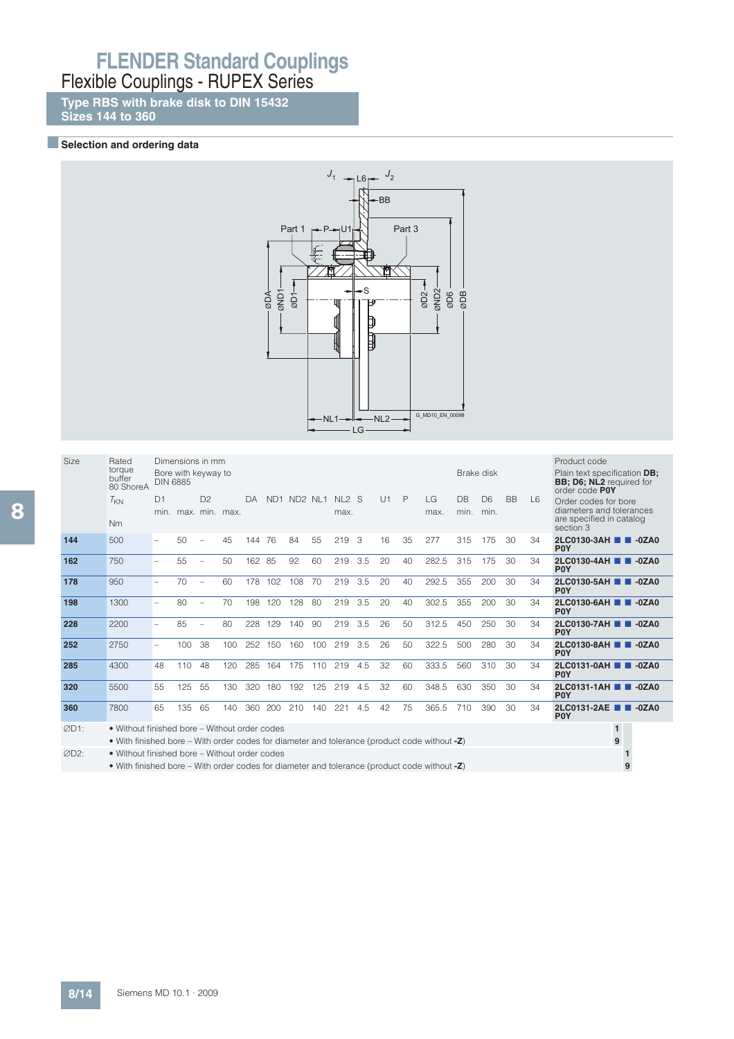**Type RBS with brake disk to DIN 15432 Sizes 144 to 360**

### **BSelection and ordering data**



| Size | Rated<br>torque<br>buffer<br>80 ShoreA                                                                                                        | <b>DIN 6885</b> |     | Dimensions in mm<br>Bore with keyway to |     |     |     |             |     |                           |     |    |    |            | Brake disk        |                        |           |                | Product code<br>Plain text specification <b>DB:</b><br><b>BB</b> ; D6; NL2 required for<br>order code P0Y |
|------|-----------------------------------------------------------------------------------------------------------------------------------------------|-----------------|-----|-----------------------------------------|-----|-----|-----|-------------|-----|---------------------------|-----|----|----|------------|-------------------|------------------------|-----------|----------------|-----------------------------------------------------------------------------------------------------------|
|      | $T_{KN}$<br><b>Nm</b>                                                                                                                         | D1              |     | D <sup>2</sup><br>min. max. min. max.   |     | DA. |     | ND1 ND2 NL1 |     | NL <sub>2</sub> S<br>max. |     | U1 | P  | LG<br>max. | <b>DB</b><br>min. | D <sub>6</sub><br>min. | <b>BB</b> | $\overline{6}$ | Order codes for bore<br>diameters and tolerances<br>are specified in catalog<br>section 3                 |
| 144  | 500                                                                                                                                           |                 | 50  | $\overline{\phantom{0}}$                | 45  | 144 | 76  | 84          | 55  | 219                       | 3   | 16 | 35 | 277        | 315               | 175                    | 30        | 34             | 2LC0130-3AH 2 -0ZA0<br><b>POY</b>                                                                         |
| 162  | 750                                                                                                                                           |                 | 55  | $\overline{\phantom{0}}$                | 50  | 162 | 85  | 92          | 60  | 219                       | 3.5 | 20 | 40 | 282.5      | 315               | 175                    | 30        | 34             | 2LC0130-4AH 2 -0ZA0<br><b>POY</b>                                                                         |
| 178  | 950                                                                                                                                           |                 | 70  | $\overline{\phantom{0}}$                | 60  | 178 | 102 | 108         | 70  | 219                       | 3.5 | 20 | 40 | 292.5      | 355               | 200                    | 30        | 34             | 2LC0130-5AH 2 -0ZA0<br><b>POY</b>                                                                         |
| 198  | 1300                                                                                                                                          |                 | 80  |                                         | 70  | 198 | 120 | 128         | 80  | 219                       | 3.5 | 20 | 40 | 302.5      | 355               | 200                    | 30        | 34             | 2LC0130-6AH 2 -0ZA0<br><b>POY</b>                                                                         |
| 228  | 2200                                                                                                                                          |                 | 85  | $\overline{\phantom{0}}$                | 80  | 228 | 129 | 140         | 90  | 219                       | 3.5 | 26 | 50 | 312.5      | 450               | 250                    | 30        | 34             | 2LC0130-7AH 2 -0ZA0<br><b>POY</b>                                                                         |
| 252  | 2750                                                                                                                                          |                 | 100 | 38                                      | 100 | 252 | 150 | 160         | 100 | 219                       | 3.5 | 26 | 50 | 322.5      | 500               | 280                    | 30        | 34             | 2LC0130-8AH 2 -0ZA0<br><b>POY</b>                                                                         |
| 285  | 4300                                                                                                                                          | 48              | 110 | 48                                      | 120 | 285 | 164 | 175         | 110 | 219                       | 4.5 | 32 | 60 | 333.5      | 560               | 310                    | 30        | 34             | 2LC0131-0AH 2 -0ZA0<br><b>POY</b>                                                                         |
| 320  | 5500                                                                                                                                          | 55              | 125 | 55                                      | 130 | 320 | 180 | 192         | 125 | 219                       | 4.5 | 32 | 60 | 348.5      | 630               | 350                    | 30        | 34             | 2LC0131-1AH 2 -0ZA0<br><b>POY</b>                                                                         |
| 360  | 7800                                                                                                                                          | 65              | 135 | 65                                      | 140 | 360 | 200 | 210         | 140 | 221                       | 4.5 | 42 | 75 | 365.5      | 710               | 390                    | 30        | 34             | 2LC0131-2AE <b>1 4</b> -0ZA0<br><b>POY</b>                                                                |
| ØD1: | • Without finished bore – Without order codes<br>• With finished bore – With order codes for diameter and tolerance (product code without -Z) |                 |     |                                         |     |     |     |             |     |                           |     |    |    |            |                   |                        |           |                | $\blacksquare$<br>9                                                                                       |
| ØD2: | • Without finished bore - Without order codes<br>• With finished bore – With order codes for diameter and tolerance (product code without -Z) |                 |     |                                         |     |     |     |             |     |                           |     |    |    |            |                   |                        |           |                | 9                                                                                                         |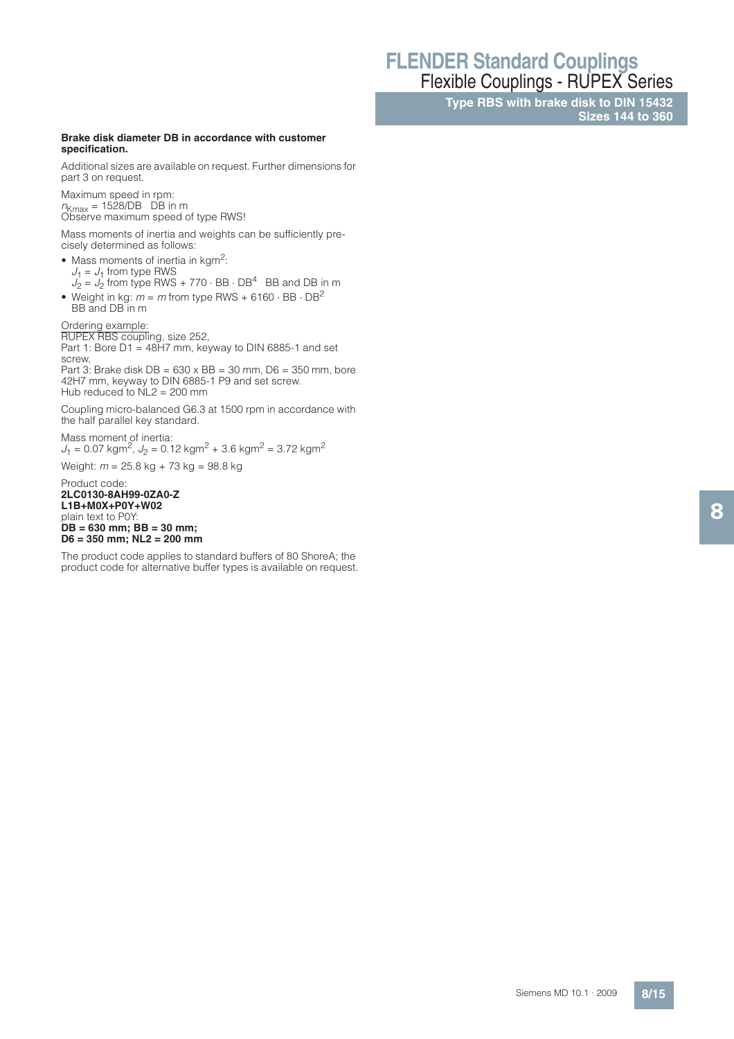**Type RBS with brake disk to DIN 15432 Sizes 144 to 360**

#### **Brake disk diameter DB in accordance with customer specification.**

Additional sizes are available on request. Further dimensions for part 3 on request.

Maximum speed in rpm:  $n_{Kmax}$  = 1528/DB DB in m Observe maximum speed of type RWS!

Mass moments of inertia and weights can be sufficiently precisely determined as follows:

- $\bullet$  Mass moments of inertia in kgm<sup>2</sup>:  $J_1 = J_1$  from type RWS  $J_2 = J_2$  from type RWS + 770  $\cdot$  BB  $\cdot$  DB<sup>4</sup> BB and DB in m
- Weight in kg:  $m = m$  from type RWS + 6160  $\cdot$  BB  $\cdot$  DB<sup>2</sup> BB and DB in m

Ordering example:

RUPEX RBS coupling, size 252, Part 1: Bore D1 = 48H7 mm, keyway to DIN 6885-1 and set screw,

Part 3: Brake disk  $DB = 630 \times BB = 30$  mm,  $D6 = 350$  mm, bore 42H7 mm, keyway to DIN 6885-1 P9 and set screw. Hub reduced to  $NL2 = 200$  mm

Coupling micro-balanced G6.3 at 1500 rpm in accordance with the half parallel key standard.

Mass moment of inertia:  $J_1 = 0.07 \text{ kgm}^2$ ,  $J_2 = 0.12 \text{ kgm}^2 + 3.6 \text{ kgm}^2 = 3.72 \text{ kgm}^2$ 

Weight:  $m = 25.8$  kg + 73 kg = 98.8 kg

Product code: **2LC0130-8AH99-0ZA0-Z L1B+M0X+P0Y+W02** plain text to P0Y: **DB = 630 mm; BB = 30 mm; D6 = 350 mm; NL2 = 200 mm**

The product code applies to standard buffers of 80 ShoreA; the product code for alternative buffer types is available on request. 8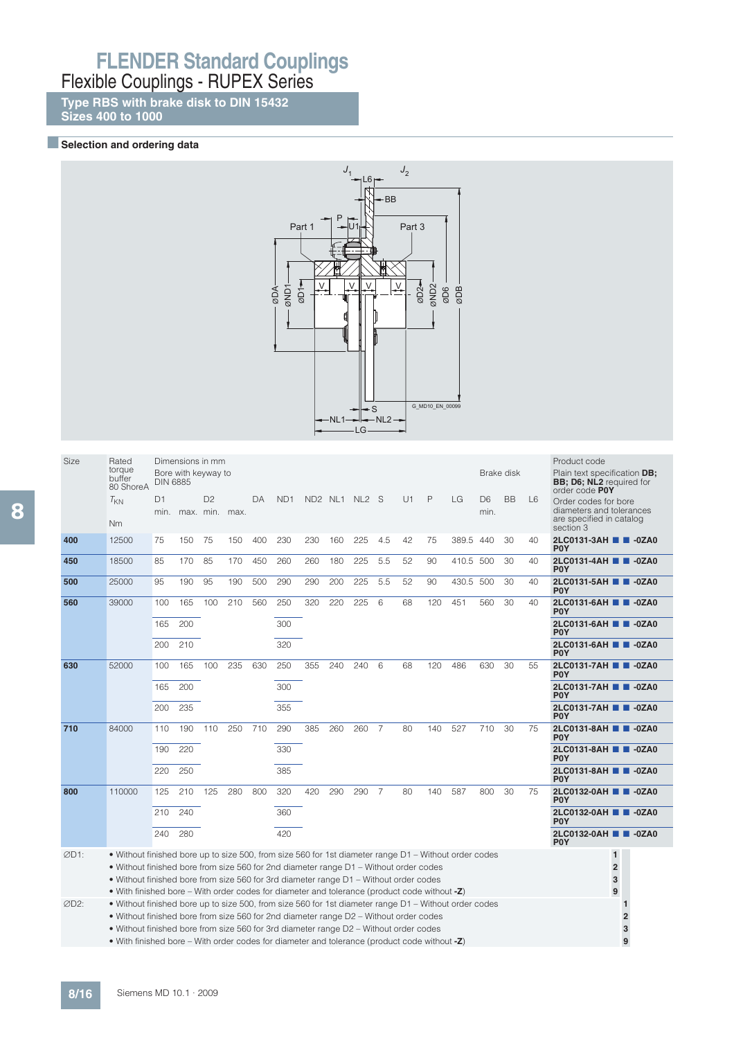**Type RBS with brake disk to DIN 15432 Sizes 400 to 1000**

### **BSelection and ordering data**



| <b>Size</b> | Rated<br>torque<br>buffer                                                                                                                                                                      | <b>DIN 6885</b> | Dimensions in mm<br>Bore with keyway to |                                  |     |     |                 |     |     |               |                |    |     |              | Brake disk                              |           |                | Product code<br>Plain text specification DB;<br><b>BB</b> ; D6; NL2 required for |
|-------------|------------------------------------------------------------------------------------------------------------------------------------------------------------------------------------------------|-----------------|-----------------------------------------|----------------------------------|-----|-----|-----------------|-----|-----|---------------|----------------|----|-----|--------------|-----------------------------------------|-----------|----------------|----------------------------------------------------------------------------------|
|             | 80 ShoreA                                                                                                                                                                                      |                 |                                         |                                  |     |     |                 |     |     |               |                |    |     |              |                                         |           |                | order code POY                                                                   |
|             | $T_{KN}$                                                                                                                                                                                       | D1<br>min.      |                                         | D <sup>2</sup><br>max, min, max, |     | DA  | ND <sub>1</sub> |     |     | ND2 NL1 NL2 S |                | U1 | P   | LG           | D <sub>6</sub><br>min.                  | <b>BB</b> | $\overline{6}$ | Order codes for bore<br>diameters and tolerances<br>are specified in catalog     |
|             | <b>Nm</b>                                                                                                                                                                                      |                 |                                         |                                  |     |     |                 |     |     |               |                |    |     |              |                                         |           |                | section 3                                                                        |
| 400         | 12500                                                                                                                                                                                          | 75              | 150                                     | 75                               | 150 | 400 | 230             | 230 | 160 | 225           | 4.5            | 42 | 75  | 389.5 440    |                                         | 30        | 40             | 2LC0131-3AH 2 -0ZA0<br><b>POY</b>                                                |
| 450         | 18500                                                                                                                                                                                          | 85              | 170                                     | 85                               | 170 | 450 | 260             | 260 | 180 | 225           | 5.5            | 52 | 90  | 410.5 500    |                                         | 30        | 40             | 2LC0131-4AH <b>B</b> -0ZA0<br>P <sub>0</sub> Y                                   |
| 500         | 25000                                                                                                                                                                                          | 95              | 190                                     | 95                               | 190 | 500 | 290             | 290 | 200 | 225           | 5.5            | 52 | 90  | 430.5 500    |                                         | 30        | 40             | 2LC0131-5AH 2 -0ZA0<br>P <sub>0</sub> Y                                          |
| 560         | 39000                                                                                                                                                                                          | 100             | 165                                     | 100                              | 210 | 560 | 250             | 320 | 220 | 225           | 6              | 68 | 120 | 451          | 560                                     | 30        | 40             | 2LC0131-6AH ■ ■ -0ZA0<br>P <sub>0</sub> Y                                        |
|             |                                                                                                                                                                                                | 165             | 200                                     |                                  |     |     | 300             |     |     |               |                |    |     |              |                                         |           |                | 2LC0131-6AH 2 -0ZA0<br>P <sub>0</sub> Y                                          |
|             |                                                                                                                                                                                                | 200             | 210                                     |                                  |     |     | 320             |     |     |               |                |    |     |              |                                         |           |                | 2LC0131-6AH 2 -0ZA0<br>P <sub>0</sub> Y                                          |
| 630         | 52000                                                                                                                                                                                          | 100             | 165                                     | 100                              | 235 | 630 | 250             | 355 | 240 | 240           | 6              | 68 | 120 | 486          | 630                                     | 30        | 55             | 2LC0131-7AH ■ ■ -0ZA0<br><b>POY</b>                                              |
|             |                                                                                                                                                                                                | 165             | 200                                     |                                  |     |     | 300             |     |     |               |                |    |     |              |                                         |           |                | 2LC0131-7AH 2 -0ZA0<br>P <sub>0</sub> Y                                          |
|             |                                                                                                                                                                                                | 200             | 235                                     |                                  |     |     | 355             |     |     |               |                |    |     |              |                                         |           |                | 2LC0131-7AH 2 -0ZA0<br>P <sub>0</sub> Y                                          |
| 710         | 84000                                                                                                                                                                                          | 110             | 190                                     | 110                              | 250 | 710 | 290             | 385 | 260 | 260           | $\overline{7}$ | 80 | 140 | 527          | 710                                     | 30        | 75             | 2LC0131-8AH 2 -0ZA0<br><b>POY</b>                                                |
|             |                                                                                                                                                                                                | 190             | 220                                     |                                  |     |     | 330             |     |     |               |                |    |     |              |                                         |           |                | 2LC0131-8AH 2-0ZA0<br>P <sub>0</sub> Y                                           |
|             |                                                                                                                                                                                                | 220             | 250                                     |                                  |     |     | 385             |     |     |               |                |    |     |              |                                         |           |                | 2LC0131-8AH 2-0ZA0<br>P <sub>0</sub> Y                                           |
| 800         | 110000                                                                                                                                                                                         | 125             | 210                                     | 125                              | 280 | 800 | 320             | 420 | 290 | 290           | $\overline{7}$ | 80 | 140 | 587          | 800                                     | 30        | 75             | 2LC0132-0AH 2 -0ZA0<br>P <sub>0</sub> Y                                          |
|             |                                                                                                                                                                                                | 210             | 240                                     |                                  |     | 360 |                 |     |     |               |                |    |     |              | 2LC0132-0AH 2 -0ZA0<br>P <sub>0</sub> Y |           |                |                                                                                  |
|             |                                                                                                                                                                                                | 240             | 280                                     |                                  |     |     | 420             |     |     |               |                |    |     |              |                                         |           |                | 2LC0132-0AH ■ ■ -0ZA0<br>P <sub>0</sub> Y                                        |
| ØD1:        | • Without finished bore up to size 500, from size 560 for 1st diameter range D1 – Without order codes                                                                                          |                 |                                         |                                  |     |     |                 |     |     |               |                |    |     |              |                                         |           |                | $\mathbf{1}$                                                                     |
|             | . Without finished bore from size 560 for 2nd diameter range D1 - Without order codes                                                                                                          |                 |                                         |                                  |     |     |                 |     |     |               |                |    |     |              |                                         |           |                | $\overline{2}$                                                                   |
|             | • Without finished bore from size 560 for 3rd diameter range D1 – Without order codes                                                                                                          |                 |                                         |                                  |     |     |                 |     |     |               |                |    |     |              |                                         |           |                | 3                                                                                |
|             | • With finished bore – With order codes for diameter and tolerance (product code without -Z)                                                                                                   |                 |                                         |                                  |     |     |                 |     |     |               |                |    |     |              |                                         |           |                | 9                                                                                |
| ØD2:        | • Without finished bore up to size 500, from size 560 for 1st diameter range D1 – Without order codes<br>. Without finished bore from size 560 for 2nd diameter range D2 - Without order codes |                 |                                         |                                  |     |     |                 |     |     |               |                |    |     | $\mathbf{1}$ |                                         |           |                |                                                                                  |
|             |                                                                                                                                                                                                |                 |                                         |                                  |     |     |                 |     |     |               |                |    |     |              |                                         |           |                | $\overline{\mathbf{c}}$                                                          |
|             | • Without finished bore from size 560 for 3rd diameter range D2 - Without order codes                                                                                                          |                 |                                         |                                  |     |     |                 |     |     |               |                |    |     |              |                                         |           |                | 3                                                                                |

• With finished bore – With order codes for diameter and tolerance (product code without **-Z**) **9**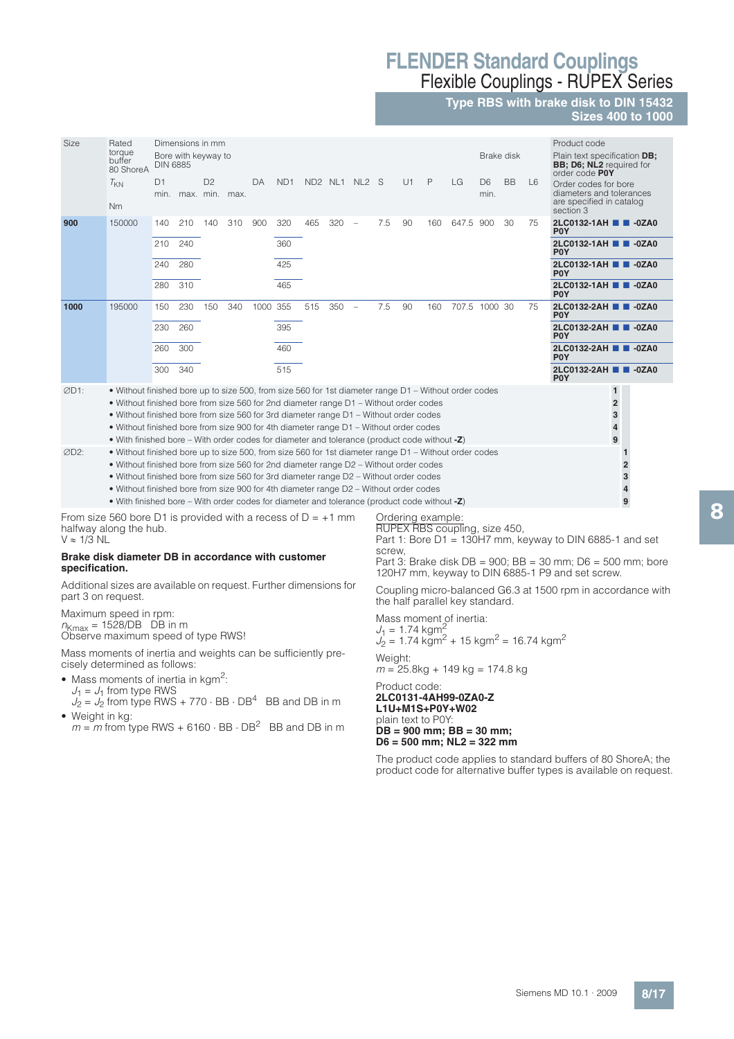**Type RBS with brake disk to DIN 15432**

**Sizes 400 to 1000**

| Size | Rated<br>torque<br>buffer<br>80 ShoreA                                                                                                                                                | Dimensions in mm<br>Brake disk<br>Bore with keyway to<br><b>DIN 6885</b><br>$\mathsf{P}$<br>D1<br>D <sup>2</sup><br>ND <sub>1</sub><br>ND2 NL1 NL2 S<br>U1<br>LG<br><b>BB</b><br>DA<br>D <sub>6</sub><br>$\overline{6}$ |     |                |     |      |     |     |     |                          |     |    |                |               |      | Product code<br>Plain text specification DB;<br><b>BB</b> ; D6; NL2 required for<br>order code P0Y |    |                                                                                           |  |
|------|---------------------------------------------------------------------------------------------------------------------------------------------------------------------------------------|-------------------------------------------------------------------------------------------------------------------------------------------------------------------------------------------------------------------------|-----|----------------|-----|------|-----|-----|-----|--------------------------|-----|----|----------------|---------------|------|----------------------------------------------------------------------------------------------------|----|-------------------------------------------------------------------------------------------|--|
|      | $T_{KN}$<br>Nm                                                                                                                                                                        | min.                                                                                                                                                                                                                    |     | max. min. max. |     |      |     |     |     |                          |     |    |                |               | min. |                                                                                                    |    | Order codes for bore<br>diameters and tolerances<br>are specified in catalog<br>section 3 |  |
| 900  | 150000                                                                                                                                                                                | 140                                                                                                                                                                                                                     | 210 | 140            | 310 | 900  | 320 | 465 | 320 | $\overline{\phantom{a}}$ | 7.5 | 90 | 160            | 647.5 900     |      | 30                                                                                                 | 75 | 2LC0132-1AH ■ ■ -0ZA0<br><b>POY</b>                                                       |  |
|      |                                                                                                                                                                                       | 210                                                                                                                                                                                                                     | 240 |                |     |      | 360 |     |     |                          |     |    |                |               |      |                                                                                                    |    | 2LC0132-1AH 2 -0ZA0<br>P <sub>0</sub> Y                                                   |  |
|      |                                                                                                                                                                                       | 240                                                                                                                                                                                                                     | 280 |                |     |      | 425 |     |     |                          |     |    |                |               |      |                                                                                                    |    | 2LC0132-1AH 2 -0ZA0<br><b>POY</b>                                                         |  |
|      |                                                                                                                                                                                       | 280                                                                                                                                                                                                                     | 310 |                |     |      | 465 |     |     |                          |     |    |                |               |      |                                                                                                    |    | 2LC0132-1AH 2 -0ZA0<br>P <sub>0</sub> Y                                                   |  |
| 1000 | 195000                                                                                                                                                                                | 150                                                                                                                                                                                                                     | 230 | 150            | 340 | 1000 | 355 | 515 | 350 | $\overline{\phantom{0}}$ | 7.5 | 90 | 160            | 707.5 1000 30 |      |                                                                                                    | 75 | 2LC0132-2AH 2 -0ZA0<br>P <sub>0</sub> Y                                                   |  |
|      |                                                                                                                                                                                       | 230                                                                                                                                                                                                                     | 260 |                |     |      | 395 |     |     |                          |     |    |                |               |      |                                                                                                    |    | 2LC0132-2AH 2 -0ZA0<br>P <sub>0</sub> Y                                                   |  |
|      |                                                                                                                                                                                       | 260                                                                                                                                                                                                                     | 300 |                |     |      | 460 |     |     |                          |     |    |                |               |      |                                                                                                    |    | 2LC0132-2AH 2 -0ZA0<br>P <sub>0</sub> Y                                                   |  |
|      |                                                                                                                                                                                       | 300                                                                                                                                                                                                                     | 340 |                |     |      | 515 |     |     |                          |     |    |                |               |      |                                                                                                    |    | 2LC0132-2AH 2 -0ZA0<br><b>POY</b>                                                         |  |
| ØD1: | • Without finished bore up to size 500, from size 560 for 1st diameter range D1 – Without order codes                                                                                 |                                                                                                                                                                                                                         |     |                |     |      |     |     |     |                          |     |    |                |               |      |                                                                                                    |    | $\mathbf{1}$                                                                              |  |
|      |                                                                                                                                                                                       | • Without finished bore from size 560 for 2nd diameter range D1 - Without order codes<br>• Without finished bore from size 560 for 3rd diameter range D1 – Without order codes                                          |     |                |     |      |     |     |     |                          |     |    |                |               |      | $\overline{2}$<br>3                                                                                |    |                                                                                           |  |
|      | • Without finished bore from size 900 for 4th diameter range D1 – Without order codes<br>• With finished bore – With order codes for diameter and tolerance (product code without -Z) |                                                                                                                                                                                                                         |     |                |     |      |     |     |     |                          |     |    | $\overline{4}$ |               |      |                                                                                                    |    |                                                                                           |  |
| ØD2: | • Without finished bore up to size 500, from size 560 for 1st diameter range D1 – Without order codes                                                                                 |                                                                                                                                                                                                                         |     |                |     |      |     |     |     |                          |     |    |                |               |      |                                                                                                    |    | 9                                                                                         |  |
|      |                                                                                                                                                                                       |                                                                                                                                                                                                                         |     |                |     |      |     |     |     |                          |     |    |                |               |      |                                                                                                    |    |                                                                                           |  |

• Without finished bore from size 560 for 2nd diameter range D2 – Without order codes **2**

• Without finished bore from size 560 for 3rd diameter range D2 – Without order codes **3**

• Without finished bore from size 900 for 4th diameter range D2 – Without order codes **4**

• With finished bore – With order codes for diameter and tolerance (product code without -Z) <br>From size 560 bore D1 is provided with a recess of D = +1 mm 8 Ordering example: • With finished bore – With order codes for diameter and tolerance (product code without **-Z**) **9**

halfway along the hub.  $V \approx 1/3$  NL

#### **Brake disk diameter DB in accordance with customer specification.**

Additional sizes are available on request. Further dimensions for part 3 on request.

Maximum speed in rpm:  $n_{Kmax}$  = 1528/DB DB in m Observe maximum speed of type RWS!

Mass moments of inertia and weights can be sufficiently precisely determined as follows:

- Mass moments of inertia in kgm<sup>2</sup>:
- $J_1 = J_1$  from type RWS  $J_2 = J_2$  from type RWS + 770  $\cdot$  BB  $\cdot$  DB<sup>4</sup> BB and DB in m
- Weight in kg:
- $m = m$  from type RWS + 6160  $\cdot$  BB  $\cdot$  DB<sup>2</sup> BB and DB in m

Ordering example: RUPEX RBS coupling, size 450,

Part 1: Bore  $D1 = 130$ H7 mm, keyway to DIN 6885-1 and set screw,

Part 3: Brake disk DB = 900; BB =  $30 \text{ mm}$ ; D6 = 500 mm; bore 120H7 mm, keyway to DIN 6885-1 P9 and set screw.

Coupling micro-balanced G6.3 at 1500 rpm in accordance with the half parallel key standard.

Mass moment of inertia:  $J_1 = 1.74$  kgm<sup>2</sup>  $J_2 = 1.74$  kgm<sup>2</sup> + 15 kgm<sup>2</sup> = 16.74 kgm<sup>2</sup> Weight:

 $m = 25.8$ kg + 149 kg = 174.8 kg

Product code: **2LC0131-4AH99-0ZA0-Z L1U+M1S+P0Y+W02** plain text to P0Y: **DB = 900 mm; BB = 30 mm; D6 = 500 mm; NL2 = 322 mm**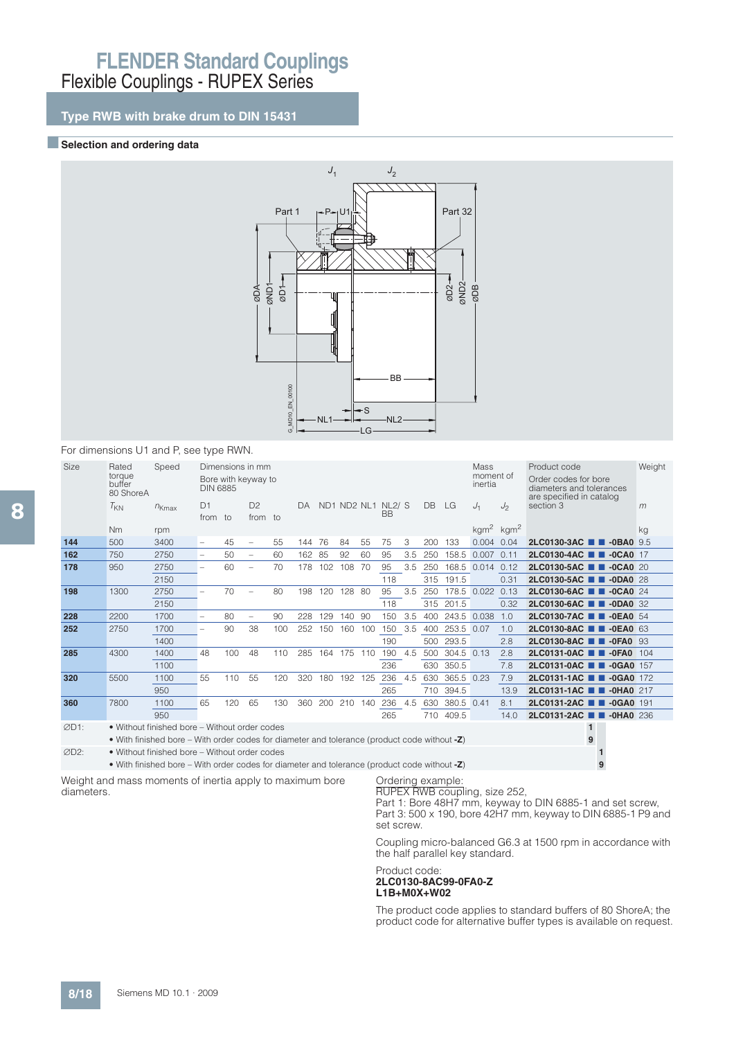## **Type RWB with brake drum to DIN 15431**

### **Exerction and ordering data**



#### For dimensions U1 and P, see type RWN.

| <b>Size</b>       | Rated<br>torque<br>buffer<br>80 ShoreA | Speed                                                                                           | Dimensions in mm<br>Mass<br>moment of<br>Bore with keyway to<br>inertia<br><b>DIN 6885</b><br>ND1 ND2 NL1 NL2/ S |     |                          |     |     |                  |        |     |           |     |     |             |             | Product code<br>Order codes for bore<br>diameters and tolerances<br>are specified in catalog | Weight                          |     |
|-------------------|----------------------------------------|-------------------------------------------------------------------------------------------------|------------------------------------------------------------------------------------------------------------------|-----|--------------------------|-----|-----|------------------|--------|-----|-----------|-----|-----|-------------|-------------|----------------------------------------------------------------------------------------------|---------------------------------|-----|
|                   | $T_{KN}$                               | $n_{Kmax}$                                                                                      | D1                                                                                                               |     | D <sup>2</sup>           |     | DA  |                  |        |     | <b>BB</b> |     | DB  | LG          | $J_1$       | J <sub>2</sub>                                                                               | section 3                       | m   |
|                   |                                        |                                                                                                 | from to                                                                                                          |     | from to                  |     |     |                  |        |     |           |     |     |             |             |                                                                                              |                                 |     |
|                   | N <sub>m</sub>                         | rpm                                                                                             |                                                                                                                  |     |                          |     |     |                  |        |     |           |     |     |             |             | kgm <sup>2</sup> kgm <sup>2</sup>                                                            |                                 | kg  |
| 144               | 500                                    | 3400                                                                                            | $\overline{\phantom{0}}$                                                                                         | 45  | $\overline{\phantom{0}}$ | 55  | 144 | 76               | 84     | 55  | 75        | 3   | 200 | 133         | 0.004       | 0.04                                                                                         | 2LC0130-3AC <b>1 -0BA0</b> 9.5  |     |
| 162               | 750                                    | 2750                                                                                            | $\overline{\phantom{0}}$                                                                                         | 50  | $\overline{\phantom{m}}$ | 60  | 162 | 85               | 92     | 60  | 95        | 3.5 | 250 |             | 158.5 0.007 | 0.11                                                                                         | 2LC0130-4AC <b>1 -0CA0</b> 17   |     |
| 178               | 950                                    | 2750                                                                                            |                                                                                                                  | 60  |                          | 70  | 178 | 102 <sub>2</sub> | 108    | 70  | 95        | 3.5 | 250 |             | 168.5 0.014 | 0.12                                                                                         | 2LC0130-5AC <b>1 4CA0</b> 20    |     |
|                   |                                        | 2150                                                                                            |                                                                                                                  |     |                          |     |     |                  |        |     | 118       |     | 315 | 191.5       |             | 0.31                                                                                         | 2LC0130-5AC <b>1 -0DA0</b> 28   |     |
| 198               | 1300                                   | 2750                                                                                            | $\overline{\phantom{0}}$                                                                                         | 70  |                          | 80  | 198 | 120              | 128 80 |     | 95        | 3.5 | 250 |             | 178.5 0.022 | 0.13                                                                                         | 2LC0130-6AC <b>2 -0CA0</b> 24   |     |
|                   |                                        | 2150                                                                                            |                                                                                                                  |     |                          |     |     |                  |        |     | 118       |     | 315 | 201.5       |             | 0.32                                                                                         | 2LC0130-6AC <b>1 -0DA0</b> 32   |     |
| 228               | 2200                                   | 1700                                                                                            | $\overline{\phantom{0}}$                                                                                         | 80  |                          | 90  | 228 | 129              | 140    | 90  | 150       | 3.5 | 400 | 243.5 0.038 |             | 1.0                                                                                          | 2LC0130-7AC <b>1 -0EA0</b> 54   |     |
| 252               | 2750                                   | 1700                                                                                            |                                                                                                                  | 90  | 38                       | 100 | 252 | 150              | 160    | 100 | 150       | 3.5 | 400 | 253.5 0.07  |             | 1.0                                                                                          | 2LC0130-8AC <b>1 -0EA0</b> 63   |     |
|                   |                                        | 1400                                                                                            |                                                                                                                  |     |                          |     |     |                  |        |     | 190       |     | 500 | 293.5       |             | 2.8                                                                                          | 2LC0130-8AC <b>1 -0FA0</b> 93   |     |
| 285               | 4300                                   | 1400                                                                                            | 48                                                                                                               | 100 | 48                       | 110 | 285 | 164              | 175    | 110 | 190       | 4.5 | 500 | 304.5 0.13  |             | 2.8                                                                                          | 2LC0131-0AC ■ ■ -0FA0           | 104 |
|                   |                                        |                                                                                                 |                                                                                                                  |     |                          |     |     |                  |        |     |           |     |     |             |             |                                                                                              |                                 |     |
|                   |                                        | 1100                                                                                            |                                                                                                                  |     |                          |     |     |                  |        |     | 236       |     | 630 | 350.5       |             | 7.8                                                                                          | 2LC0131-0AC <b>1 -0GA0</b> 157  |     |
| 320               | 5500                                   | 1100                                                                                            | 55                                                                                                               | 110 | 55                       | 120 | 320 | 180              | 192    | 125 | 236       | 4.5 | 630 | 365.5 0.23  |             | 7.9                                                                                          | 2LC0131-1AC <b>1 -0GA0</b> 172  |     |
|                   |                                        | 950                                                                                             |                                                                                                                  |     |                          |     |     |                  |        |     | 265       |     | 710 | 394.5       |             | 13.9                                                                                         | 2LC0131-1AC <b>B</b> -0HA0 217  |     |
| 360               | 7800                                   | 1100                                                                                            | 65                                                                                                               | 120 | 65                       | 130 | 360 | 200              | 210    | 140 | 236       | 4.5 | 630 | 380.5 0.41  |             | 8.1                                                                                          | 2LC0131-2AC <b>1 -0GA0</b> 191  |     |
|                   |                                        | 950                                                                                             |                                                                                                                  |     |                          |     |     |                  |        |     | 265       |     |     | 710 409.5   |             | 14.0                                                                                         | 2LC0131-2AC <b>TH</b> -0HA0 236 |     |
| ØD1:              |                                        | • Without finished bore – Without order codes                                                   |                                                                                                                  |     |                          |     |     |                  |        |     |           |     |     |             |             |                                                                                              | 1                               |     |
|                   |                                        | • With finished bore – With order codes for diameter and tolerance (product code without $-Z$ ) |                                                                                                                  |     |                          |     |     |                  |        |     |           |     |     |             |             |                                                                                              | 9                               |     |
| ØD <sub>2</sub> : |                                        | • Without finished bore – Without order codes                                                   |                                                                                                                  |     |                          |     |     |                  |        |     |           |     |     |             |             |                                                                                              |                                 |     |

• With finished bore – With order codes for diameter and tolerance (product code without **-Z**) **9**

Weight and mass moments of inertia apply to maximum bore diameters.

#### Ordering example:

RUPEX RWB coupling, size 252,

Part 1: Bore 48H7 mm, keyway to DIN 6885-1 and set screw, Part 3: 500 x 190, bore 42H7 mm, keyway to DIN 6885-1 P9 and set screw.

Coupling micro-balanced G6.3 at 1500 rpm in accordance with the half parallel key standard.

#### Product code: **2LC0130-8AC99-0FA0-Z L1B+M0X+W02**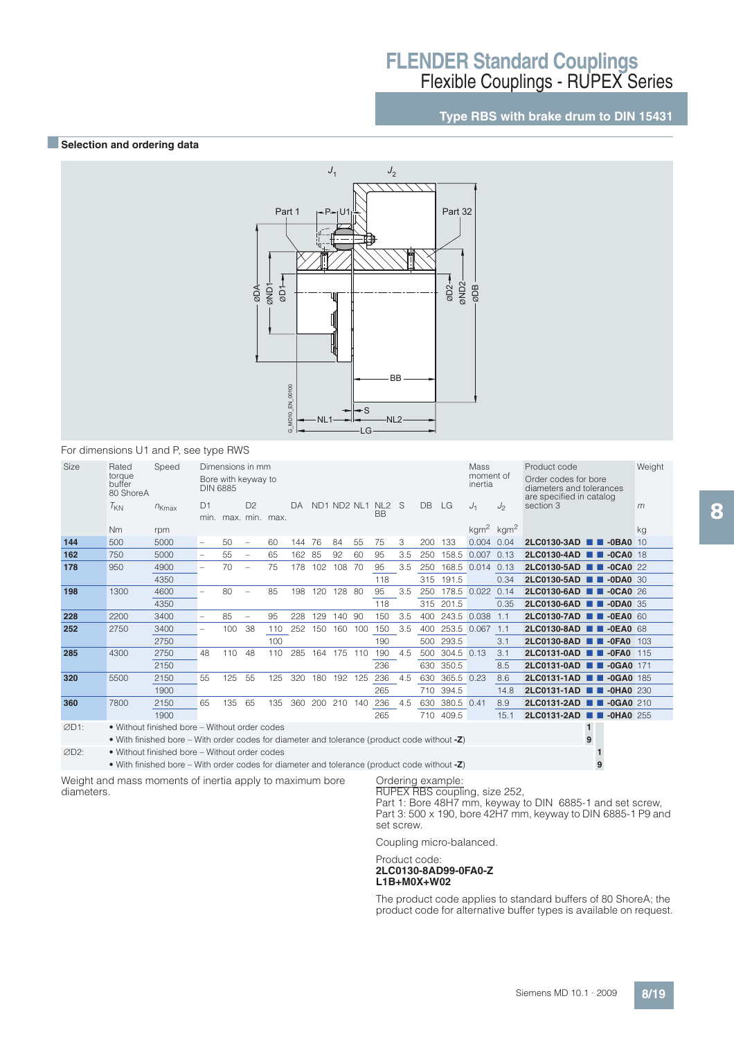## **Type RBS with brake drum to DIN 15431**

### **BSelection and ordering data**



#### For dimensions U1 and P, see type RWS

| Size | Rated<br>torque<br>buffer<br>80 ShoreA | Speed                                                                                        | Dimensions in mm<br><b>Mass</b><br>moment of<br>Bore with keyway to<br>inertia<br><b>DIN 6885</b><br>DB<br>D1<br>D <sup>2</sup><br>ND1 ND2 NL1 NL2 S<br>LG<br>DA |     |                          |     |     |         |        |     |           |     |     |             |                         |                | Product code<br>Order codes for bore<br>diameters and tolerances<br>are specified in catalog |                          | Weight |
|------|----------------------------------------|----------------------------------------------------------------------------------------------|------------------------------------------------------------------------------------------------------------------------------------------------------------------|-----|--------------------------|-----|-----|---------|--------|-----|-----------|-----|-----|-------------|-------------------------|----------------|----------------------------------------------------------------------------------------------|--------------------------|--------|
|      | $T_{KN}$                               | $n_{Kmax}$                                                                                   |                                                                                                                                                                  |     |                          |     |     |         |        |     |           |     |     |             | $J_1$                   | J <sub>2</sub> | section 3                                                                                    |                          | m      |
|      |                                        |                                                                                              |                                                                                                                                                                  |     | min. max. min. max.      |     |     |         |        |     | <b>BB</b> |     |     |             |                         |                |                                                                                              |                          |        |
|      | <b>Nm</b>                              | rpm                                                                                          |                                                                                                                                                                  |     |                          |     |     |         |        |     |           |     |     |             | $kgm2$ kgm <sup>2</sup> |                |                                                                                              |                          | kg     |
| 144  | 500                                    | 5000                                                                                         | $\overline{\phantom{0}}$                                                                                                                                         | 50  | $\overline{\phantom{a}}$ | 60  | 144 | 76      | 84     | 55  | 75        | 3   | 200 | 133         | 0.004                   | 0.04           | 2LC0130-3AD                                                                                  | $-0$ BA0 10              |        |
| 162  | 750                                    | 5000                                                                                         |                                                                                                                                                                  | 55  | $\overline{\phantom{a}}$ | 65  | 162 | 85      | 92     | 60  | 95        | 3.5 | 250 |             | 158.5 0.007 0.13        |                | 2LC0130-4AD                                                                                  | $-0$ CA $0$ 18<br>. .    |        |
| 178  | 950                                    | 4900                                                                                         |                                                                                                                                                                  | 70  |                          | 75  | 178 | 102     | 108    | 70  | 95        | 3.5 | 250 |             | 168.5 0.014 0.13        |                | 2LC0130-5AD                                                                                  | $\blacksquare$ -OCAO 22  |        |
|      |                                        | 4350                                                                                         |                                                                                                                                                                  |     |                          |     |     |         |        |     | 118       |     | 315 | 191.5       |                         | 0.34           | 2LC0130-5AD <b>1 -0DA0</b> 30                                                                |                          |        |
| 198  | 1300                                   | 4600                                                                                         | $\overline{\phantom{0}}$                                                                                                                                         | 80  |                          | 85  | 198 | 120     | 128 80 |     | 95        | 3.5 | 250 |             | 178.5 0.022 0.14        |                | 2LC0130-6AD <b>1 -0CA0</b> 26                                                                |                          |        |
|      | 4350                                   |                                                                                              |                                                                                                                                                                  |     |                          |     |     |         |        |     | 118       |     |     | 315 201.5   |                         | 0.35           | 2LC0130-6AD <b>1 -0DA0</b> 35                                                                |                          |        |
| 228  | 2200                                   | 3400                                                                                         | $\overline{\phantom{0}}$                                                                                                                                         | 85  | $\overline{\phantom{0}}$ | 95  | 228 | 129     | 140    | 90  | 150       | 3.5 | 400 | 243.5 0.038 |                         | 1.1            | 2LC0130-7AD <b>1 -0EA0 60</b>                                                                |                          |        |
| 252  | 2750                                   | 3400                                                                                         | $\overline{\phantom{0}}$                                                                                                                                         | 100 | 38                       | 110 | 252 | 150     | 160    | 100 | 150       | 3.5 | 400 | 253.5 0.067 |                         | 1.1            | 2LC0130-8AD                                                                                  | $\blacksquare$ -OEAO 68  |        |
|      |                                        | 2750                                                                                         |                                                                                                                                                                  |     |                          | 100 |     |         |        |     | 190       |     | 500 | 293.5       |                         | 3.1            | 2LC0130-8AD                                                                                  | $-0FA0$ 103              |        |
| 285  | 4300                                   | 2750                                                                                         | 48                                                                                                                                                               | 110 | 48                       | 110 | 285 | 164     | 175    | 110 | 190       | 4.5 | 500 | 304.5 0.13  |                         | 3.1            | 2LC0131-0AD                                                                                  | $\blacksquare$ -OFAO 115 |        |
|      |                                        | 2150                                                                                         |                                                                                                                                                                  |     |                          |     |     |         |        |     | 236       |     | 630 | 350.5       |                         | 8.5            | 2LC0131-0AD <b>1 -0GA0</b> 171                                                               |                          |        |
| 320  | 5500                                   | 2150                                                                                         | 55                                                                                                                                                               | 125 | 55                       | 125 | 320 | 180     | 192    | 125 | 236       | 4.5 | 630 | 365.5 0.23  |                         | 8.6            | 2LC0131-1AD                                                                                  | $\blacksquare$ -0GA0 185 |        |
|      |                                        | 1900                                                                                         |                                                                                                                                                                  |     |                          |     |     |         |        |     | 265       |     | 710 | 394.5       |                         | 14.8           | 2LC0131-1AD <b>1 -0HA0</b> 230                                                               |                          |        |
| 360  | 7800                                   | 2150                                                                                         | 65                                                                                                                                                               | 135 | 65                       | 135 | 360 | 200 210 |        | 140 | 236       | 4.5 | 630 | 380.5 0.41  |                         | 8.9            | 2LC0131-2AD <b>1 -0GA0</b> 210                                                               |                          |        |
|      |                                        | 1900                                                                                         |                                                                                                                                                                  |     |                          |     |     |         |        |     | 265       |     | 710 | 409.5       |                         | 15.1           | 2LC0131-2AD <b>B</b> -0HA0 255                                                               |                          |        |
| ØD1: |                                        | • Without finished bore – Without order codes                                                |                                                                                                                                                                  |     |                          |     |     |         |        |     |           |     |     |             |                         |                | $\mathbf{1}$                                                                                 |                          |        |
|      |                                        | • With finished bore – With order codes for diameter and tolerance (product code without -Z) |                                                                                                                                                                  |     |                          |     |     |         |        |     |           |     |     |             |                         |                | 9                                                                                            |                          |        |
| ØD2: |                                        | • Without finished bore – Without order codes                                                |                                                                                                                                                                  |     |                          |     |     |         |        |     |           |     |     |             |                         |                |                                                                                              |                          |        |
|      |                                        |                                                                                              |                                                                                                                                                                  |     |                          |     |     |         |        |     |           |     |     |             |                         |                |                                                                                              |                          |        |

• With finished bore – With order codes for diameter and tolerance (product code without **-Z**) **9**

Weight and mass moments of inertia apply to maximum bore diameters.

#### Ordering example:

RUPEX RBS coupling, size 252, Part 1: Bore 48H7 mm, keyway to DIN 6885-1 and set screw,

Part 3: 500 x 190, bore 42H7 mm, keyway to DIN 6885-1 P9 and set screw.

Coupling micro-balanced.

#### Product code:

#### **2LC0130-8AD99-0FA0-Z L1B+M0X+W02**